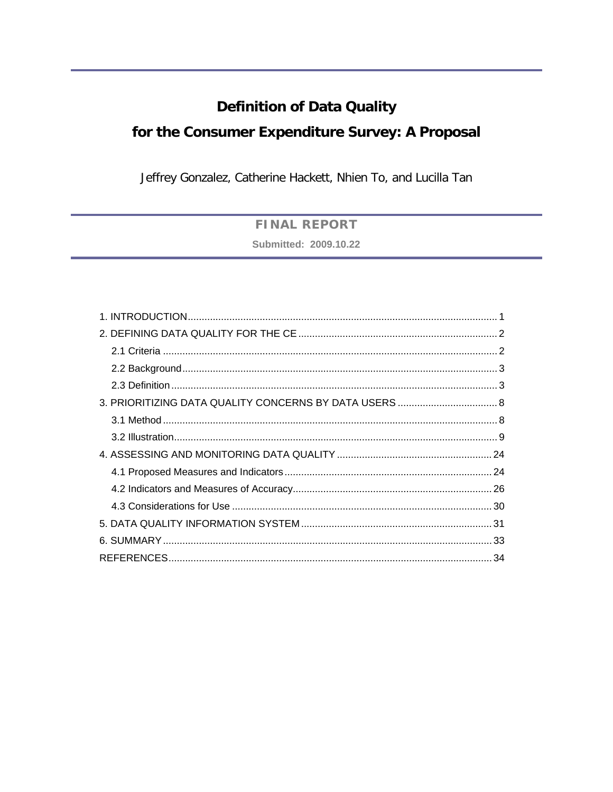# **Definition of Data Quality**

# for the Consumer Expenditure Survey: A Proposal

Jeffrey Gonzalez, Catherine Hackett, Nhien To, and Lucilla Tan

# **FINAL REPORT**

Submitted: 2009.10.22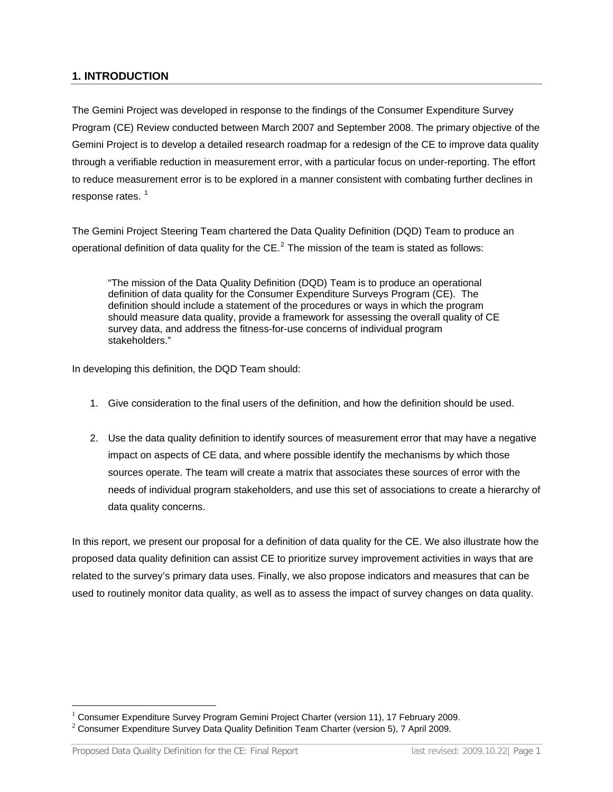## <span id="page-1-0"></span>**1. INTRODUCTION**

The Gemini Project was developed in response to the findings of the Consumer Expenditure Survey Program (CE) Review conducted between March 2007 and September 2008. The primary objective of the Gemini Project is to develop a detailed research roadmap for a redesign of the CE to improve data quality through a verifiable reduction in measurement error, with a particular focus on under-reporting. The effort to reduce measurement error is to be explored in a manner consistent with combating further declines in response rates.<sup>[1](#page-1-1)</sup>

The Gemini Project Steering Team chartered the Data Quality Definition (DQD) Team to produce an operational definition of data quality for the CE. $^2$  $^2$  The mission of the team is stated as follows:

"The mission of the Data Quality Definition (DQD) Team is to produce an operational definition of data quality for the Consumer Expenditure Surveys Program (CE). The definition should include a statement of the procedures or ways in which the program should measure data quality, provide a framework for assessing the overall quality of CE survey data, and address the fitness-for-use concerns of individual program stakeholders."

In developing this definition, the DQD Team should:

- 1. Give consideration to the final users of the definition, and how the definition should be used.
- 2. Use the data quality definition to identify sources of measurement error that may have a negative impact on aspects of CE data, and where possible identify the mechanisms by which those sources operate. The team will create a matrix that associates these sources of error with the needs of individual program stakeholders, and use this set of associations to create a hierarchy of data quality concerns.

In this report, we present our proposal for a definition of data quality for the CE. We also illustrate how the proposed data quality definition can assist CE to prioritize survey improvement activities in ways that are related to the survey's primary data uses. Finally, we also propose indicators and measures that can be used to routinely monitor data quality, as well as to assess the impact of survey changes on data quality.

 $\overline{a}$ 

<span id="page-1-1"></span><sup>1</sup> Consumer Expenditure Survey Program Gemini Project Charter (version 11), 17 February 2009.

<span id="page-1-2"></span> $2$  Consumer Expenditure Survey Data Quality Definition Team Charter (version 5), 7 April 2009.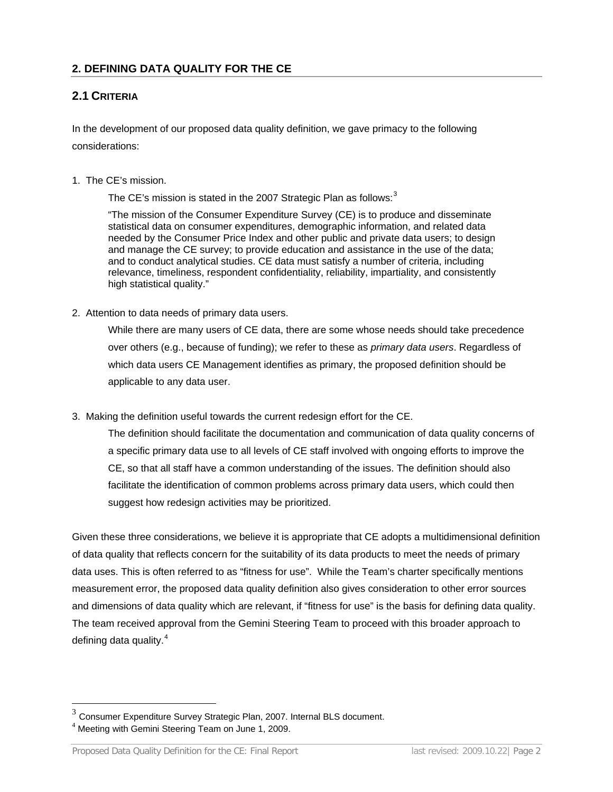## <span id="page-2-0"></span>**2. DEFINING DATA QUALITY FOR THE CE**

## <span id="page-2-1"></span>**2.1 CRITERIA**

In the development of our proposed data quality definition, we gave primacy to the following considerations:

#### 1. The CE's mission.

The CE's mission is stated in the 2007 Strategic Plan as follows: $3$ 

"The mission of the Consumer Expenditure Survey (CE) is to produce and disseminate statistical data on consumer expenditures, demographic information, and related data needed by the Consumer Price Index and other public and private data users; to design and manage the CE survey; to provide education and assistance in the use of the data; and to conduct analytical studies. CE data must satisfy a number of criteria, including relevance, timeliness, respondent confidentiality, reliability, impartiality, and consistently high statistical quality."

2. Attention to data needs of primary data users.

While there are many users of CE data, there are some whose needs should take precedence over others (e.g., because of funding); we refer to these as *primary data users*. Regardless of which data users CE Management identifies as primary, the proposed definition should be applicable to any data user.

3. Making the definition useful towards the current redesign effort for the CE.

The definition should facilitate the documentation and communication of data quality concerns of a specific primary data use to all levels of CE staff involved with ongoing efforts to improve the CE, so that all staff have a common understanding of the issues. The definition should also facilitate the identification of common problems across primary data users, which could then suggest how redesign activities may be prioritized.

Given these three considerations, we believe it is appropriate that CE adopts a multidimensional definition of data quality that reflects concern for the suitability of its data products to meet the needs of primary data uses. This is often referred to as "fitness for use". While the Team's charter specifically mentions measurement error, the proposed data quality definition also gives consideration to other error sources and dimensions of data quality which are relevant, if "fitness for use" is the basis for defining data quality. The team received approval from the Gemini Steering Team to proceed with this broader approach to defining data quality. $4$ 

 $\overline{a}$ 

<span id="page-2-2"></span> $3$  Consumer Expenditure Survey Strategic Plan, 2007. Internal BLS document.<br><sup>4</sup> Meeting with Gemini Steering Team on June 1, 2009.

<span id="page-2-3"></span>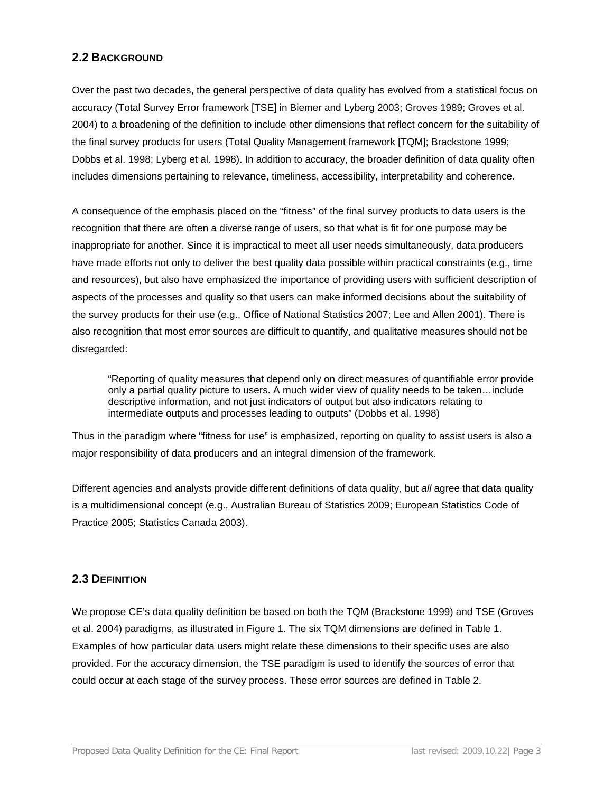### <span id="page-3-0"></span>**2.2 BACKGROUND**

Over the past two decades, the general perspective of data quality has evolved from a statistical focus on accuracy (Total Survey Error framework [TSE] in Biemer and Lyberg 2003; Groves 1989; Groves et al. 2004) to a broadening of the definition to include other dimensions that reflect concern for the suitability of the final survey products for users (Total Quality Management framework [TQM]; Brackstone 1999; Dobbs et al. 1998; Lyberg et al*.* 1998). In addition to accuracy, the broader definition of data quality often includes dimensions pertaining to relevance, timeliness, accessibility, interpretability and coherence.

A consequence of the emphasis placed on the "fitness" of the final survey products to data users is the recognition that there are often a diverse range of users, so that what is fit for one purpose may be inappropriate for another. Since it is impractical to meet all user needs simultaneously, data producers have made efforts not only to deliver the best quality data possible within practical constraints (e.g., time and resources), but also have emphasized the importance of providing users with sufficient description of aspects of the processes and quality so that users can make informed decisions about the suitability of the survey products for their use (e.g., Office of National Statistics 2007; Lee and Allen 2001). There is also recognition that most error sources are difficult to quantify, and qualitative measures should not be disregarded:

"Reporting of quality measures that depend only on direct measures of quantifiable error provide only a partial quality picture to users. A much wider view of quality needs to be taken…include descriptive information, and not just indicators of output but also indicators relating to intermediate outputs and processes leading to outputs" (Dobbs et al. 1998)

Thus in the paradigm where "fitness for use" is emphasized, reporting on quality to assist users is also a major responsibility of data producers and an integral dimension of the framework.

Different agencies and analysts provide different definitions of data quality, but *all* agree that data quality is a multidimensional concept (e.g., Australian Bureau of Statistics 2009; European Statistics Code of Practice 2005; Statistics Canada 2003).

#### <span id="page-3-1"></span>**2.3 DEFINITION**

We propose CE's data quality definition be based on both the TQM (Brackstone 1999) and TSE (Groves et al. 2004) paradigms, as illustrated in Figure 1. The six TQM dimensions are defined in Table 1. Examples of how particular data users might relate these dimensions to their specific uses are also provided. For the accuracy dimension, the TSE paradigm is used to identify the sources of error that could occur at each stage of the survey process. These error sources are defined in Table 2.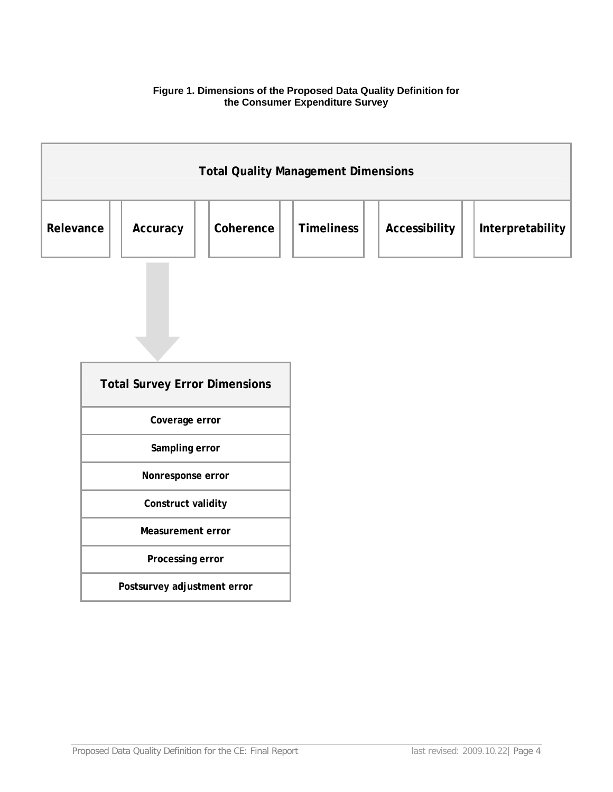#### **Figure 1. Dimensions of the Proposed Data Quality Definition for the Consumer Expenditure Survey**

| <b>Total Quality Management Dimensions</b> |          |           |                   |               |                  |
|--------------------------------------------|----------|-----------|-------------------|---------------|------------------|
| Relevance                                  | Accuracy | Coherence | <b>Timeliness</b> | Accessibility | Interpretability |

ī

| <b>Total Survey Error Dimensions</b> |  |  |  |
|--------------------------------------|--|--|--|
| Coverage error                       |  |  |  |
| Sampling error                       |  |  |  |
| Nonresponse error                    |  |  |  |
| Construct validity                   |  |  |  |
| Measurement error                    |  |  |  |
| Processing error                     |  |  |  |
| Postsurvey adjustment error          |  |  |  |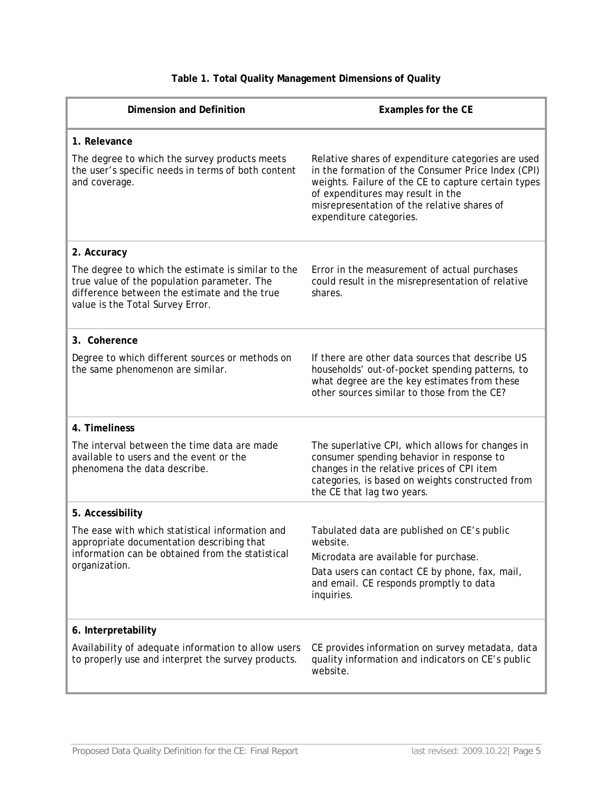| <b>Dimension and Definition</b>                                                                                                                                                       | Examples for the CE                                                                                                                                                                                                                                                            |
|---------------------------------------------------------------------------------------------------------------------------------------------------------------------------------------|--------------------------------------------------------------------------------------------------------------------------------------------------------------------------------------------------------------------------------------------------------------------------------|
| 1. Relevance                                                                                                                                                                          |                                                                                                                                                                                                                                                                                |
| The degree to which the survey products meets<br>the user's specific needs in terms of both content<br>and coverage.                                                                  | Relative shares of expenditure categories are used<br>in the formation of the Consumer Price Index (CPI)<br>weights. Failure of the CE to capture certain types<br>of expenditures may result in the<br>misrepresentation of the relative shares of<br>expenditure categories. |
| 2. Accuracy                                                                                                                                                                           |                                                                                                                                                                                                                                                                                |
| The degree to which the estimate is similar to the<br>true value of the population parameter. The<br>difference between the estimate and the true<br>value is the Total Survey Error. | Error in the measurement of actual purchases<br>could result in the misrepresentation of relative<br>shares.                                                                                                                                                                   |
| 3. Coherence                                                                                                                                                                          |                                                                                                                                                                                                                                                                                |
| Degree to which different sources or methods on<br>the same phenomenon are similar.                                                                                                   | If there are other data sources that describe US<br>households' out-of-pocket spending patterns, to<br>what degree are the key estimates from these<br>other sources similar to those from the CE?                                                                             |
| 4. Timeliness                                                                                                                                                                         |                                                                                                                                                                                                                                                                                |
| The interval between the time data are made<br>available to users and the event or the<br>phenomena the data describe.                                                                | The superlative CPI, which allows for changes in<br>consumer spending behavior in response to<br>changes in the relative prices of CPI item<br>categories, is based on weights constructed from<br>the CE that lag two years.                                                  |
| 5. Accessibility                                                                                                                                                                      |                                                                                                                                                                                                                                                                                |
| The ease with which statistical information and<br>appropriate documentation describing that<br>information can be obtained from the statistical<br>organization.                     | Tabulated data are published on CE's public<br>website.<br>Microdata are available for purchase.<br>Data users can contact CE by phone, fax, mail,<br>and email. CE responds promptly to data<br>inquiries.                                                                    |
| 6. Interpretability                                                                                                                                                                   |                                                                                                                                                                                                                                                                                |
| Availability of adequate information to allow users<br>to properly use and interpret the survey products.                                                                             | CE provides information on survey metadata, data<br>quality information and indicators on CE's public<br>website.                                                                                                                                                              |

# **Table 1. Total Quality Management Dimensions of Quality**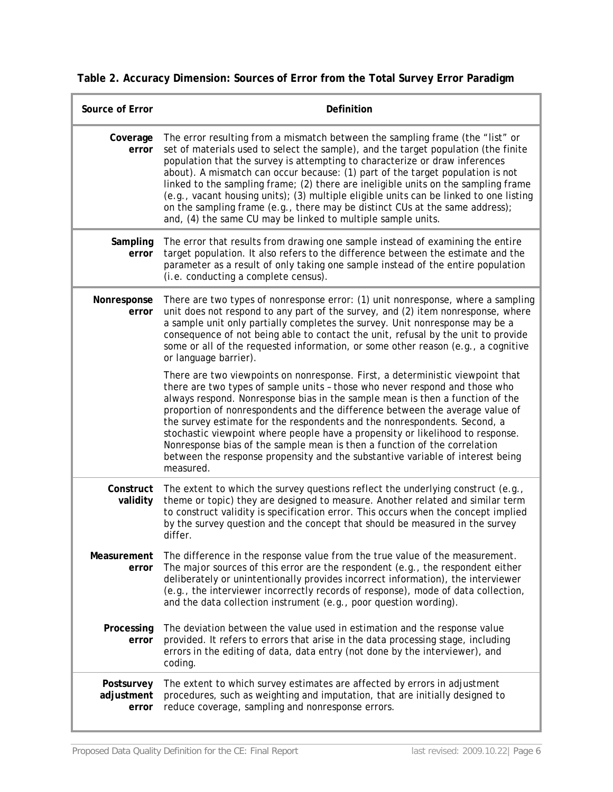|  |  | Table 2. Accuracy Dimension: Sources of Error from the Total Survey Error Paradigm |
|--|--|------------------------------------------------------------------------------------|
|  |  |                                                                                    |

| Source of Error                   | Definition                                                                                                                                                                                                                                                                                                                                                                                                                                                                                                                                                                                                                                                                |
|-----------------------------------|---------------------------------------------------------------------------------------------------------------------------------------------------------------------------------------------------------------------------------------------------------------------------------------------------------------------------------------------------------------------------------------------------------------------------------------------------------------------------------------------------------------------------------------------------------------------------------------------------------------------------------------------------------------------------|
| Coverage<br>error                 | The error resulting from a mismatch between the sampling frame (the "list" or<br>set of materials used to select the sample), and the target population (the finite<br>population that the survey is attempting to characterize or draw inferences<br>about). A mismatch can occur because: (1) part of the target population is not<br>linked to the sampling frame; (2) there are ineligible units on the sampling frame<br>(e.g., vacant housing units); (3) multiple eligible units can be linked to one listing<br>on the sampling frame (e.g., there may be distinct CUs at the same address);<br>and, (4) the same CU may be linked to multiple sample units.      |
| Sampling<br>error                 | The error that results from drawing one sample instead of examining the entire<br>target population. It also refers to the difference between the estimate and the<br>parameter as a result of only taking one sample instead of the entire population<br>(i.e. conducting a complete census).                                                                                                                                                                                                                                                                                                                                                                            |
| Nonresponse<br>error              | There are two types of nonresponse error: (1) unit nonresponse, where a sampling<br>unit does not respond to any part of the survey, and (2) item nonresponse, where<br>a sample unit only partially completes the survey. Unit nonresponse may be a<br>consequence of not being able to contact the unit, refusal by the unit to provide<br>some or all of the requested information, or some other reason (e.g., a cognitive<br>or language barrier).                                                                                                                                                                                                                   |
|                                   | There are two viewpoints on nonresponse. First, a deterministic viewpoint that<br>there are two types of sample units - those who never respond and those who<br>always respond. Nonresponse bias in the sample mean is then a function of the<br>proportion of nonrespondents and the difference between the average value of<br>the survey estimate for the respondents and the nonrespondents. Second, a<br>stochastic viewpoint where people have a propensity or likelihood to response.<br>Nonresponse bias of the sample mean is then a function of the correlation<br>between the response propensity and the substantive variable of interest being<br>measured. |
| Construct<br>validity             | The extent to which the survey questions reflect the underlying construct (e.g.,<br>theme or topic) they are designed to measure. Another related and similar term<br>to construct validity is specification error. This occurs when the concept implied<br>by the survey question and the concept that should be measured in the survey<br>differ.                                                                                                                                                                                                                                                                                                                       |
| Measurement<br>error              | The difference in the response value from the true value of the measurement.<br>The major sources of this error are the respondent (e.g., the respondent either<br>deliberately or unintentionally provides incorrect information), the interviewer<br>(e.g., the interviewer incorrectly records of response), mode of data collection,<br>and the data collection instrument (e.g., poor question wording).                                                                                                                                                                                                                                                             |
| Processing<br>error               | The deviation between the value used in estimation and the response value<br>provided. It refers to errors that arise in the data processing stage, including<br>errors in the editing of data, data entry (not done by the interviewer), and<br>coding.                                                                                                                                                                                                                                                                                                                                                                                                                  |
| Postsurvey<br>adjustment<br>error | The extent to which survey estimates are affected by errors in adjustment<br>procedures, such as weighting and imputation, that are initially designed to<br>reduce coverage, sampling and nonresponse errors.                                                                                                                                                                                                                                                                                                                                                                                                                                                            |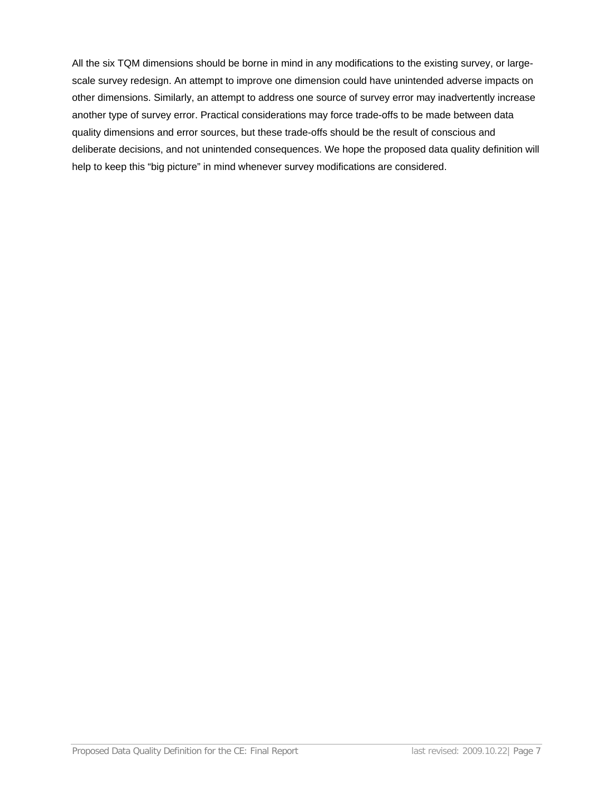All the six TQM dimensions should be borne in mind in any modifications to the existing survey, or largescale survey redesign. An attempt to improve one dimension could have unintended adverse impacts on other dimensions. Similarly, an attempt to address one source of survey error may inadvertently increase another type of survey error. Practical considerations may force trade-offs to be made between data quality dimensions and error sources, but these trade-offs should be the result of conscious and deliberate decisions, and not unintended consequences. We hope the proposed data quality definition will help to keep this "big picture" in mind whenever survey modifications are considered.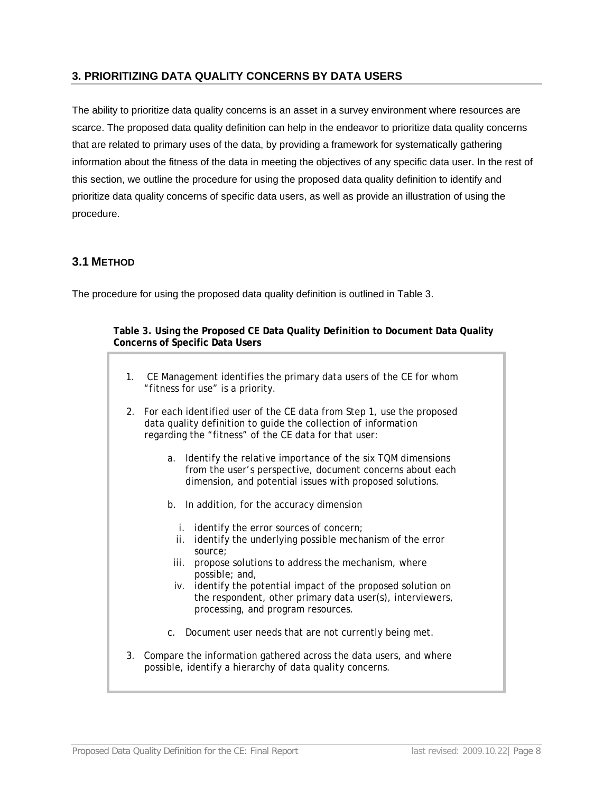## <span id="page-8-0"></span>**3. PRIORITIZING DATA QUALITY CONCERNS BY DATA USERS**

The ability to prioritize data quality concerns is an asset in a survey environment where resources are scarce. The proposed data quality definition can help in the endeavor to prioritize data quality concerns that are related to primary uses of the data, by providing a framework for systematically gathering information about the fitness of the data in meeting the objectives of any specific data user. In the rest of this section, we outline the procedure for using the proposed data quality definition to identify and prioritize data quality concerns of specific data users, as well as provide an illustration of using the procedure.

# <span id="page-8-1"></span>**3.1 METHOD**

The procedure for using the proposed data quality definition is outlined in Table 3.

#### **Table 3. Using the Proposed CE Data Quality Definition to Document Data Quality Concerns of Specific Data Users**

- 1. CE Management identifies the primary data users of the CE for whom "fitness for use" is a priority.
- 2. For each identified user of the CE data from Step 1, use the proposed data quality definition to guide the collection of information regarding the "fitness" of the CE data for that user:
	- a. Identify the relative importance of the six TQM dimensions from the user's perspective, document concerns about each dimension, and potential issues with proposed solutions.
	- b. In addition, for the accuracy dimension
		- i. identify the error sources of concern;
		- ii. identify the underlying possible mechanism of the error source;
	- iii. propose solutions to address the mechanism, where possible; and,
	- iv. identify the potential impact of the proposed solution on the respondent, other primary data user(s), interviewers, processing, and program resources.
	- c. Document user needs that are not currently being met.
- 3. Compare the information gathered across the data users, and where possible, identify a hierarchy of data quality concerns.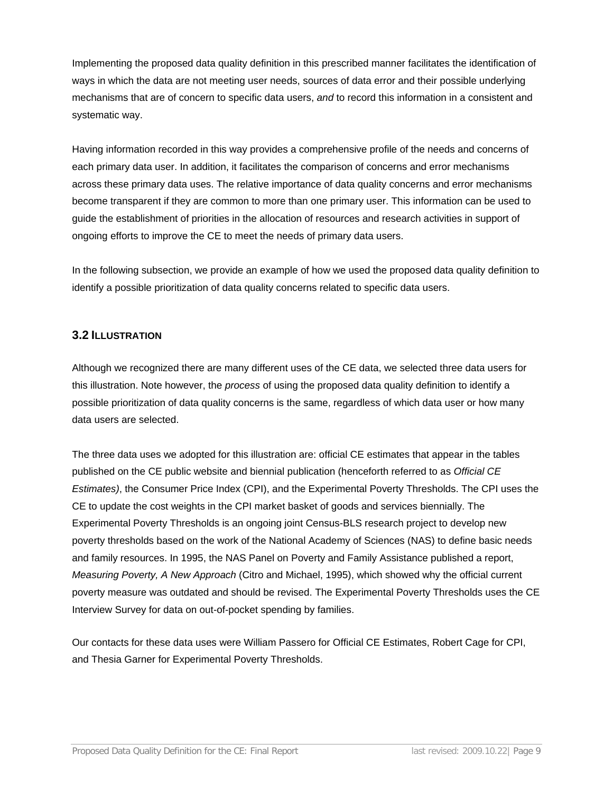Implementing the proposed data quality definition in this prescribed manner facilitates the identification of ways in which the data are not meeting user needs, sources of data error and their possible underlying mechanisms that are of concern to specific data users, *and* to record this information in a consistent and systematic way.

Having information recorded in this way provides a comprehensive profile of the needs and concerns of each primary data user. In addition, it facilitates the comparison of concerns and error mechanisms across these primary data uses. The relative importance of data quality concerns and error mechanisms become transparent if they are common to more than one primary user. This information can be used to guide the establishment of priorities in the allocation of resources and research activities in support of ongoing efforts to improve the CE to meet the needs of primary data users.

In the following subsection, we provide an example of how we used the proposed data quality definition to identify a possible prioritization of data quality concerns related to specific data users.

#### <span id="page-9-0"></span>**3.2 ILLUSTRATION**

Although we recognized there are many different uses of the CE data, we selected three data users for this illustration. Note however, the *process* of using the proposed data quality definition to identify a possible prioritization of data quality concerns is the same, regardless of which data user or how many data users are selected.

The three data uses we adopted for this illustration are: official CE estimates that appear in the tables published on the CE public website and biennial publication (henceforth referred to as *Official CE Estimates)*, the Consumer Price Index (CPI), and the Experimental Poverty Thresholds. The CPI uses the CE to update the cost weights in the CPI market basket of goods and services biennially. The Experimental Poverty Thresholds is an ongoing joint Census-BLS research project to develop new poverty thresholds based on the work of the National Academy of Sciences (NAS) to define basic needs and family resources. In 1995, the NAS Panel on Poverty and Family Assistance published a report, *Measuring Poverty, A New Approach* (Citro and Michael, 1995), which showed why the official current poverty measure was outdated and should be revised. The Experimental Poverty Thresholds uses the CE Interview Survey for data on out-of-pocket spending by families.

Our contacts for these data uses were William Passero for Official CE Estimates, Robert Cage for CPI, and Thesia Garner for Experimental Poverty Thresholds.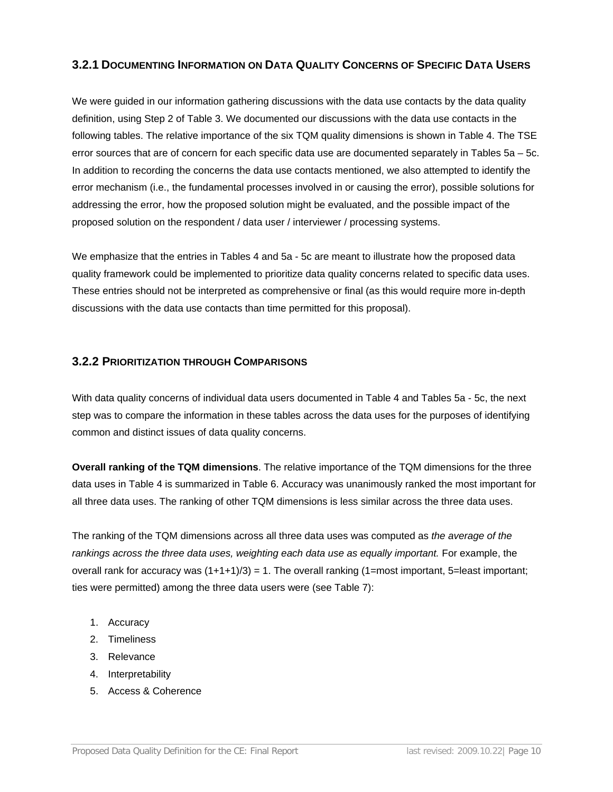## **3.2.1 DOCUMENTING INFORMATION ON DATA QUALITY CONCERNS OF SPECIFIC DATA USERS**

We were guided in our information gathering discussions with the data use contacts by the data quality definition, using Step 2 of Table 3. We documented our discussions with the data use contacts in the following tables. The relative importance of the six TQM quality dimensions is shown in Table 4. The TSE error sources that are of concern for each specific data use are documented separately in Tables 5a – 5c. In addition to recording the concerns the data use contacts mentioned, we also attempted to identify the error mechanism (i.e., the fundamental processes involved in or causing the error), possible solutions for addressing the error, how the proposed solution might be evaluated, and the possible impact of the proposed solution on the respondent / data user / interviewer / processing systems.

We emphasize that the entries in Tables 4 and 5a - 5c are meant to illustrate how the proposed data quality framework could be implemented to prioritize data quality concerns related to specific data uses. These entries should not be interpreted as comprehensive or final (as this would require more in-depth discussions with the data use contacts than time permitted for this proposal).

#### **3.2.2 PRIORITIZATION THROUGH COMPARISONS**

With data quality concerns of individual data users documented in Table 4 and Tables 5a - 5c, the next step was to compare the information in these tables across the data uses for the purposes of identifying common and distinct issues of data quality concerns.

**Overall ranking of the TQM dimensions**. The relative importance of the TQM dimensions for the three data uses in Table 4 is summarized in Table 6. Accuracy was unanimously ranked the most important for all three data uses. The ranking of other TQM dimensions is less similar across the three data uses.

The ranking of the TQM dimensions across all three data uses was computed as *the average of the*  rankings across the three data uses, weighting each data use as equally important. For example, the overall rank for accuracy was  $(1+1+1)/3$  = 1. The overall ranking  $(1=$ most important, 5=least important; ties were permitted) among the three data users were (see Table 7):

- 1. Accuracy
- 2. Timeliness
- 3. Relevance
- 4. Interpretability
- 5. Access & Coherence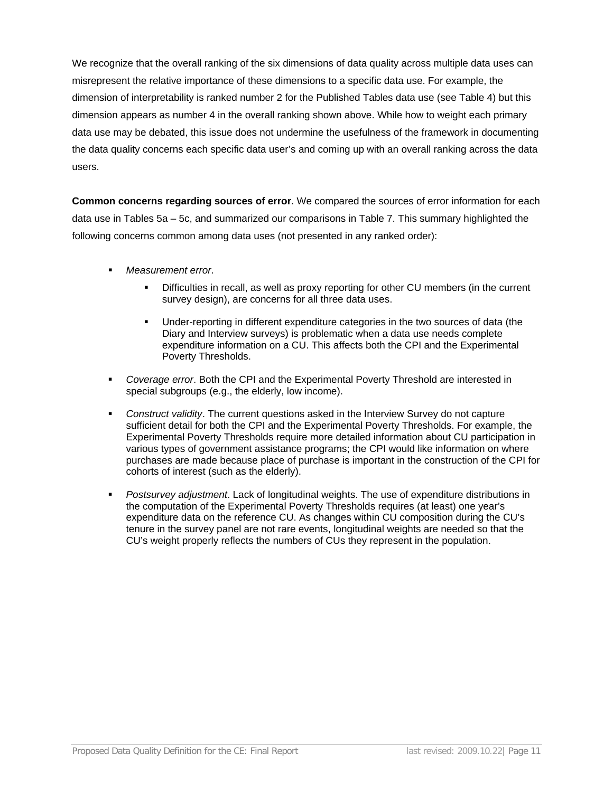We recognize that the overall ranking of the six dimensions of data quality across multiple data uses can misrepresent the relative importance of these dimensions to a specific data use. For example, the dimension of interpretability is ranked number 2 for the Published Tables data use (see Table 4) but this dimension appears as number 4 in the overall ranking shown above. While how to weight each primary data use may be debated, this issue does not undermine the usefulness of the framework in documenting the data quality concerns each specific data user's and coming up with an overall ranking across the data users.

**Common concerns regarding sources of error**. We compared the sources of error information for each data use in Tables 5a – 5c, and summarized our comparisons in Table 7. This summary highlighted the following concerns common among data uses (not presented in any ranked order):

- *Measurement error*.
	- Difficulties in recall, as well as proxy reporting for other CU members (in the current survey design), are concerns for all three data uses.
	- Under-reporting in different expenditure categories in the two sources of data (the Diary and Interview surveys) is problematic when a data use needs complete expenditure information on a CU. This affects both the CPI and the Experimental Poverty Thresholds.
- *Coverage error*. Both the CPI and the Experimental Poverty Threshold are interested in special subgroups (e.g., the elderly, low income).
- *Construct validity*. The current questions asked in the Interview Survey do not capture sufficient detail for both the CPI and the Experimental Poverty Thresholds. For example, the Experimental Poverty Thresholds require more detailed information about CU participation in various types of government assistance programs; the CPI would like information on where purchases are made because place of purchase is important in the construction of the CPI for cohorts of interest (such as the elderly).
- *Postsurvey adjustment*. Lack of longitudinal weights. The use of expenditure distributions in the computation of the Experimental Poverty Thresholds requires (at least) one year's expenditure data on the reference CU. As changes within CU composition during the CU's tenure in the survey panel are not rare events, longitudinal weights are needed so that the CU's weight properly reflects the numbers of CUs they represent in the population.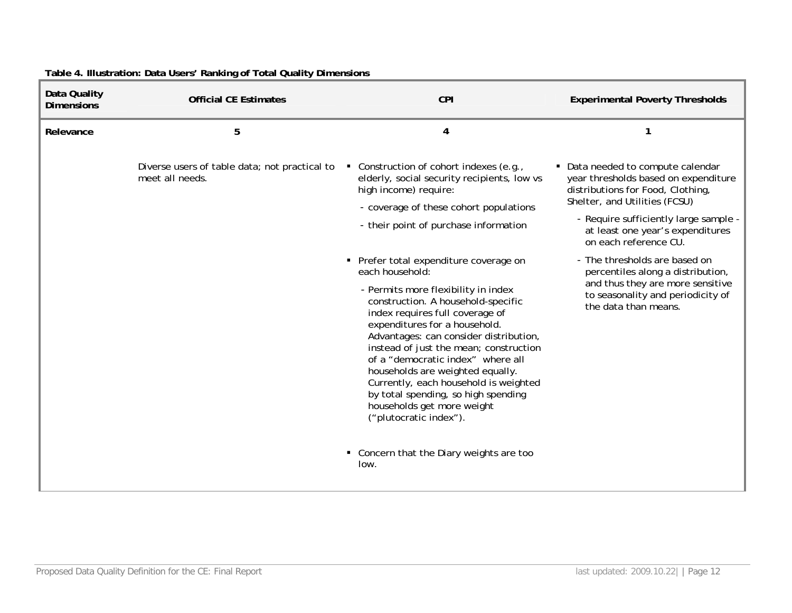| Data Quality<br><b>Dimensions</b> | <b>Official CE Estimates</b>                                     | <b>CPI</b>                                                                                                                                                                                                                                                                                                                                                                                                                                                                                                      | <b>Experimental Poverty Thresholds</b>                                                                                                                                                                                                                |
|-----------------------------------|------------------------------------------------------------------|-----------------------------------------------------------------------------------------------------------------------------------------------------------------------------------------------------------------------------------------------------------------------------------------------------------------------------------------------------------------------------------------------------------------------------------------------------------------------------------------------------------------|-------------------------------------------------------------------------------------------------------------------------------------------------------------------------------------------------------------------------------------------------------|
| Relevance                         | 5                                                                | 4                                                                                                                                                                                                                                                                                                                                                                                                                                                                                                               | 1                                                                                                                                                                                                                                                     |
|                                   | Diverse users of table data; not practical to<br>meet all needs. | • Construction of cohort indexes (e.g.,<br>elderly, social security recipients, low vs<br>high income) require:<br>- coverage of these cohort populations<br>- their point of purchase information                                                                                                                                                                                                                                                                                                              | • Data needed to compute calendar<br>year thresholds based on expenditure<br>distributions for Food, Clothing,<br>Shelter, and Utilities (FCSU)<br>- Require sufficiently large sample -<br>at least one year's expenditures<br>on each reference CU. |
|                                   |                                                                  | • Prefer total expenditure coverage on<br>each household:<br>- Permits more flexibility in index<br>construction. A household-specific<br>index requires full coverage of<br>expenditures for a household.<br>Advantages: can consider distribution,<br>instead of just the mean; construction<br>of a "democratic index" where all<br>households are weighted equally.<br>Currently, each household is weighted<br>by total spending, so high spending<br>households get more weight<br>("plutocratic index"). | - The thresholds are based on<br>percentiles along a distribution,<br>and thus they are more sensitive<br>to seasonality and periodicity of<br>the data than means.                                                                                   |
|                                   |                                                                  | • Concern that the Diary weights are too<br>low.                                                                                                                                                                                                                                                                                                                                                                                                                                                                |                                                                                                                                                                                                                                                       |

# **Table 4. Illustration: Data Users' Ranking of Total Quality Dimensions**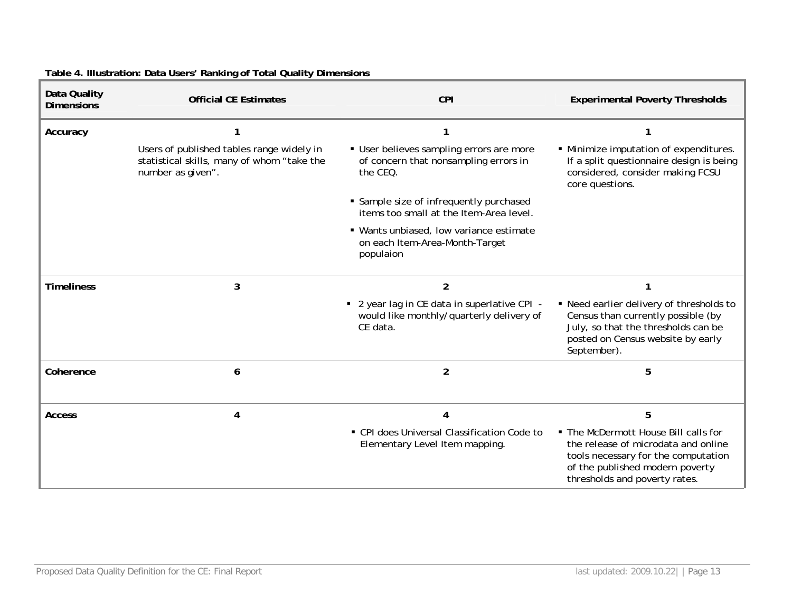| Data Quality<br><b>Dimensions</b> | <b>Official CE Estimates</b>                                                                                 | <b>CPI</b>                                                                                           | <b>Experimental Poverty Thresholds</b>                                                                                                                                                 |
|-----------------------------------|--------------------------------------------------------------------------------------------------------------|------------------------------------------------------------------------------------------------------|----------------------------------------------------------------------------------------------------------------------------------------------------------------------------------------|
| Accuracy                          |                                                                                                              | 1                                                                                                    | 1                                                                                                                                                                                      |
|                                   | Users of published tables range widely in<br>statistical skills, many of whom "take the<br>number as given". | · User believes sampling errors are more<br>of concern that nonsampling errors in<br>the CEQ.        | · Minimize imputation of expenditures.<br>If a split questionnaire design is being<br>considered, consider making FCSU<br>core questions.                                              |
|                                   |                                                                                                              | • Sample size of infrequently purchased<br>items too small at the Item-Area level.                   |                                                                                                                                                                                        |
|                                   |                                                                                                              | • Wants unbiased, low variance estimate<br>on each Item-Area-Month-Target<br>populaion               |                                                                                                                                                                                        |
| <b>Timeliness</b>                 | 3                                                                                                            | $\overline{2}$                                                                                       |                                                                                                                                                                                        |
|                                   |                                                                                                              | • 2 year lag in CE data in superlative CPI -<br>would like monthly/quarterly delivery of<br>CE data. | • Need earlier delivery of thresholds to<br>Census than currently possible (by<br>July, so that the thresholds can be<br>posted on Census website by early<br>September).              |
| Coherence                         | 6                                                                                                            | $\overline{2}$                                                                                       | 5                                                                                                                                                                                      |
| <b>Access</b>                     | 4                                                                                                            | 4                                                                                                    | 5                                                                                                                                                                                      |
|                                   |                                                                                                              | • CPI does Universal Classification Code to<br>Elementary Level Item mapping.                        | • The McDermott House Bill calls for<br>the release of microdata and online<br>tools necessary for the computation<br>of the published modern poverty<br>thresholds and poverty rates. |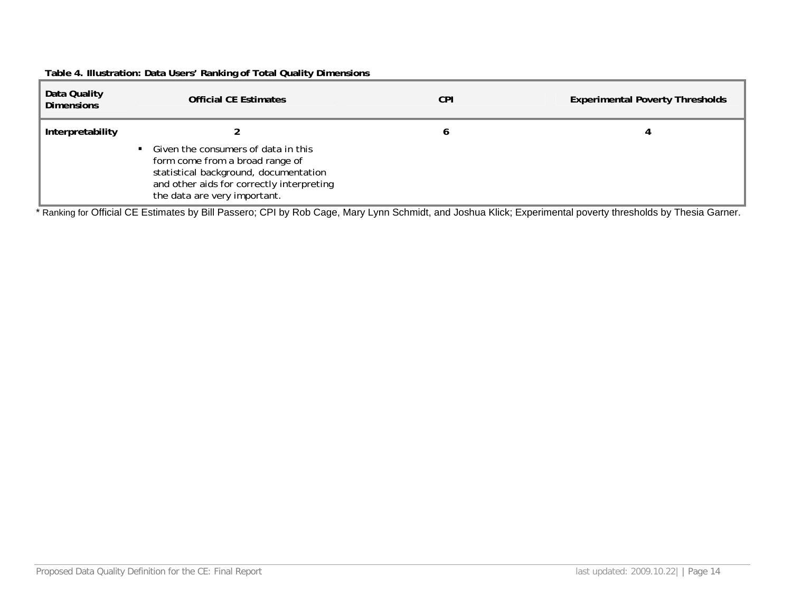## **Table 4. Illustration: Data Users' Ranking of Total Quality Dimensions**

| Data Quality<br><b>Dimensions</b> | <b>Official CE Estimates</b>                                                                                                                                                                   | <b>CPI</b> | <b>Experimental Poverty Thresholds</b> |
|-----------------------------------|------------------------------------------------------------------------------------------------------------------------------------------------------------------------------------------------|------------|----------------------------------------|
| Interpretability                  | • Given the consumers of data in this<br>form come from a broad range of<br>statistical background, documentation<br>and other aids for correctly interpreting<br>the data are very important. |            |                                        |

\* Ranking for Official CE Estimates by Bill Passero; CPI by Rob Cage, Mary Lynn Schmidt, and Joshua Klick; Experimental poverty thresholds by Thesia Garner.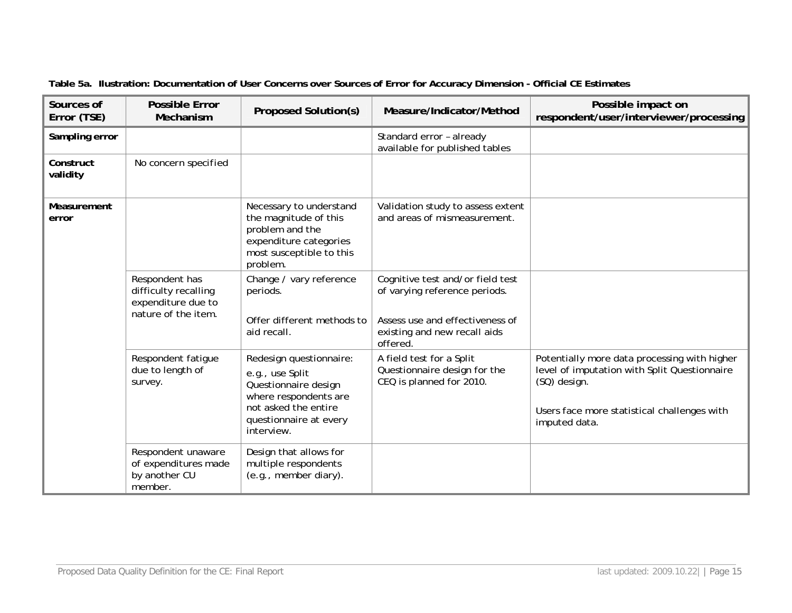| Sources of<br>Error (TSE) | <b>Possible Error</b><br>Mechanism                                                  | <b>Proposed Solution(s)</b>                                                                                                                                 | Measure/Indicator/Method                                                                                                                         | Possible impact on<br>respondent/user/interviewer/processing                                                                                                                 |
|---------------------------|-------------------------------------------------------------------------------------|-------------------------------------------------------------------------------------------------------------------------------------------------------------|--------------------------------------------------------------------------------------------------------------------------------------------------|------------------------------------------------------------------------------------------------------------------------------------------------------------------------------|
| Sampling error            |                                                                                     |                                                                                                                                                             | Standard error - already<br>available for published tables                                                                                       |                                                                                                                                                                              |
| Construct<br>validity     | No concern specified                                                                |                                                                                                                                                             |                                                                                                                                                  |                                                                                                                                                                              |
| Measurement<br>error      |                                                                                     | Necessary to understand<br>the magnitude of this<br>problem and the<br>expenditure categories<br>most susceptible to this<br>problem.                       | Validation study to assess extent<br>and areas of mismeasurement.                                                                                |                                                                                                                                                                              |
|                           | Respondent has<br>difficulty recalling<br>expenditure due to<br>nature of the item. | Change / vary reference<br>periods.<br>Offer different methods to<br>aid recall.                                                                            | Cognitive test and/or field test<br>of varying reference periods.<br>Assess use and effectiveness of<br>existing and new recall aids<br>offered. |                                                                                                                                                                              |
|                           | Respondent fatigue<br>due to length of<br>survey.                                   | Redesign questionnaire:<br>e.g., use Split<br>Questionnaire design<br>where respondents are<br>not asked the entire<br>questionnaire at every<br>interview. | A field test for a Split<br>Questionnaire design for the<br>CEQ is planned for 2010.                                                             | Potentially more data processing with higher<br>level of imputation with Split Questionnaire<br>(SQ) design.<br>Users face more statistical challenges with<br>imputed data. |
|                           | Respondent unaware<br>of expenditures made<br>by another CU<br>member.              | Design that allows for<br>multiple respondents<br>(e.g., member diary).                                                                                     |                                                                                                                                                  |                                                                                                                                                                              |

**Table 5a. Ilustration: Documentation of User Concerns over Sources of Error for Accuracy Dimension - Official CE Estimates**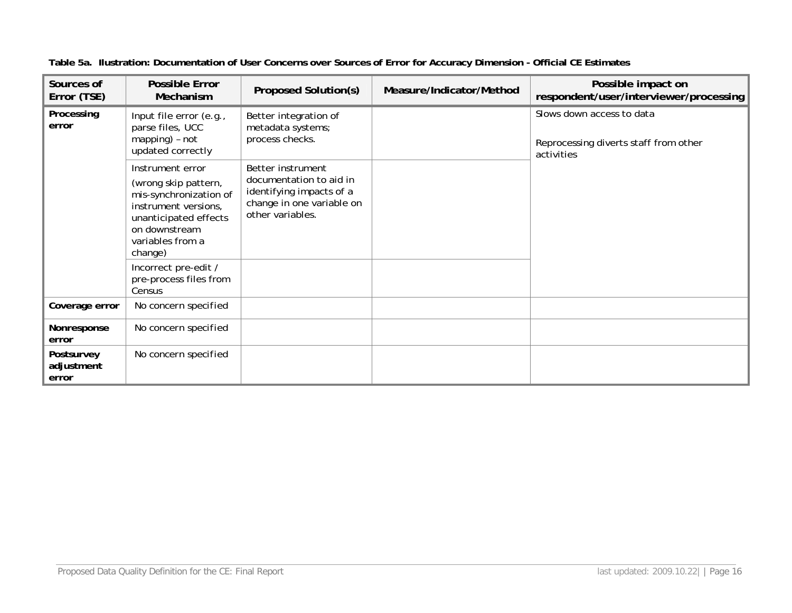| Sources of<br>Error (TSE)         | <b>Possible Error</b><br>Mechanism                                                                                                                                  | Proposed Solution(s)                                                                                                      | Measure/Indicator/Method | Possible impact on<br>respondent/user/interviewer/processing                     |
|-----------------------------------|---------------------------------------------------------------------------------------------------------------------------------------------------------------------|---------------------------------------------------------------------------------------------------------------------------|--------------------------|----------------------------------------------------------------------------------|
| Processing<br>error               | Input file error (e.g.,<br>parse files, UCC<br>mapping) - not<br>updated correctly                                                                                  | Better integration of<br>metadata systems;<br>process checks.                                                             |                          | Slows down access to data<br>Reprocessing diverts staff from other<br>activities |
|                                   | Instrument error<br>(wrong skip pattern,<br>mis-synchronization of<br>instrument versions,<br>unanticipated effects<br>on downstream<br>variables from a<br>change) | Better instrument<br>documentation to aid in<br>identifying impacts of a<br>change in one variable on<br>other variables. |                          |                                                                                  |
|                                   | Incorrect pre-edit /<br>pre-process files from<br>Census                                                                                                            |                                                                                                                           |                          |                                                                                  |
| Coverage error                    | No concern specified                                                                                                                                                |                                                                                                                           |                          |                                                                                  |
| Nonresponse<br>error              | No concern specified                                                                                                                                                |                                                                                                                           |                          |                                                                                  |
| Postsurvey<br>adjustment<br>error | No concern specified                                                                                                                                                |                                                                                                                           |                          |                                                                                  |

**Table 5a. Ilustration: Documentation of User Concerns over Sources of Error for Accuracy Dimension - Official CE Estimates**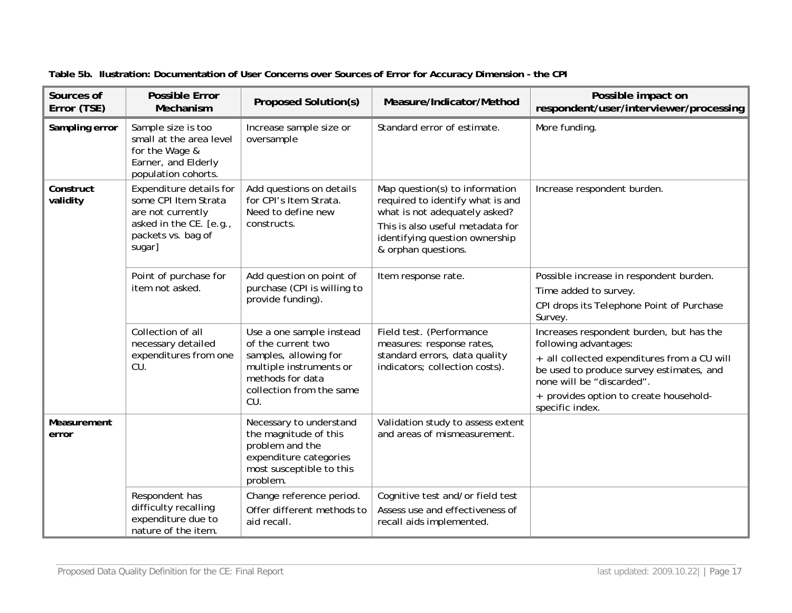| Sources of<br>Error (TSE) | <b>Possible Error</b><br>Mechanism                                                                                              | <b>Proposed Solution(s)</b>                                                                                                                               | Measure/Indicator/Method                                                                                                                                                                         | Possible impact on<br>respondent/user/interviewer/processing                                                                                                                                                                                           |
|---------------------------|---------------------------------------------------------------------------------------------------------------------------------|-----------------------------------------------------------------------------------------------------------------------------------------------------------|--------------------------------------------------------------------------------------------------------------------------------------------------------------------------------------------------|--------------------------------------------------------------------------------------------------------------------------------------------------------------------------------------------------------------------------------------------------------|
| Sampling error            | Sample size is too<br>small at the area level<br>for the Wage &<br>Earner, and Elderly<br>population cohorts.                   | Increase sample size or<br>oversample                                                                                                                     | Standard error of estimate.                                                                                                                                                                      | More funding.                                                                                                                                                                                                                                          |
| Construct<br>validity     | Expenditure details for<br>some CPI Item Strata<br>are not currently<br>asked in the CE. [e.g.,<br>packets vs. bag of<br>sugar] | Add questions on details<br>for CPI's Item Strata.<br>Need to define new<br>constructs.                                                                   | Map question(s) to information<br>required to identify what is and<br>what is not adequately asked?<br>This is also useful metadata for<br>identifying question ownership<br>& orphan questions. | Increase respondent burden.                                                                                                                                                                                                                            |
|                           | Point of purchase for<br>item not asked.                                                                                        | Add question on point of<br>purchase (CPI is willing to<br>provide funding).                                                                              | Item response rate.                                                                                                                                                                              | Possible increase in respondent burden.<br>Time added to survey.<br>CPI drops its Telephone Point of Purchase<br>Survey.                                                                                                                               |
|                           | Collection of all<br>necessary detailed<br>expenditures from one<br>CU.                                                         | Use a one sample instead<br>of the current two<br>samples, allowing for<br>multiple instruments or<br>methods for data<br>collection from the same<br>CU. | Field test. (Performance<br>measures: response rates,<br>standard errors, data quality<br>indicators; collection costs).                                                                         | Increases respondent burden, but has the<br>following advantages:<br>+ all collected expenditures from a CU will<br>be used to produce survey estimates, and<br>none will be "discarded".<br>+ provides option to create household-<br>specific index. |
| Measurement<br>error      |                                                                                                                                 | Necessary to understand<br>the magnitude of this<br>problem and the<br>expenditure categories<br>most susceptible to this<br>problem.                     | Validation study to assess extent<br>and areas of mismeasurement.                                                                                                                                |                                                                                                                                                                                                                                                        |
|                           | Respondent has<br>difficulty recalling<br>expenditure due to<br>nature of the item.                                             | Change reference period.<br>Offer different methods to<br>aid recall.                                                                                     | Cognitive test and/or field test<br>Assess use and effectiveness of<br>recall aids implemented.                                                                                                  |                                                                                                                                                                                                                                                        |

**Table 5b. Ilustration: Documentation of User Concerns over Sources of Error for Accuracy Dimension - the CPI**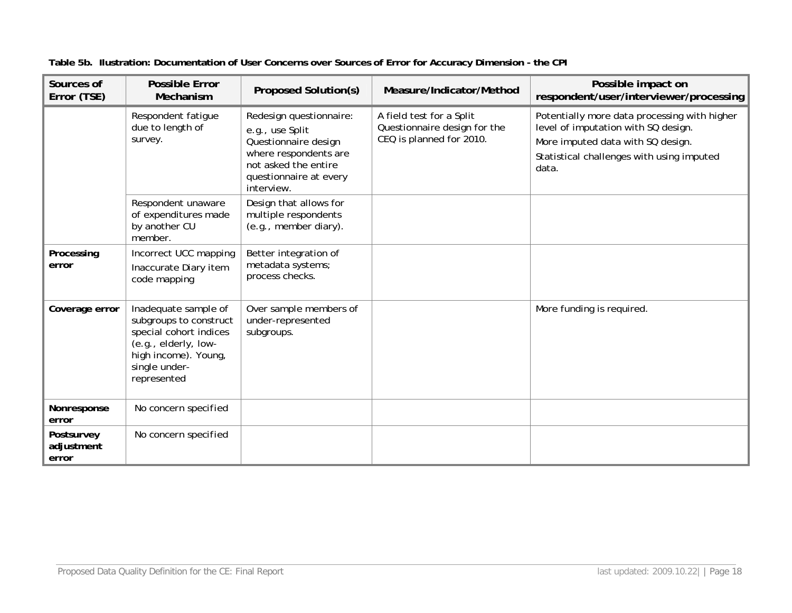| Sources of<br>Error (TSE)         | <b>Possible Error</b><br>Mechanism                                                                                                                       | <b>Proposed Solution(s)</b>                                                                                                                                 | Measure/Indicator/Method                                                             | Possible impact on<br>respondent/user/interviewer/processing                                                                                                                   |
|-----------------------------------|----------------------------------------------------------------------------------------------------------------------------------------------------------|-------------------------------------------------------------------------------------------------------------------------------------------------------------|--------------------------------------------------------------------------------------|--------------------------------------------------------------------------------------------------------------------------------------------------------------------------------|
|                                   | Respondent fatigue<br>due to length of<br>survey.                                                                                                        | Redesign questionnaire:<br>e.g., use Split<br>Questionnaire design<br>where respondents are<br>not asked the entire<br>questionnaire at every<br>interview. | A field test for a Split<br>Questionnaire design for the<br>CEQ is planned for 2010. | Potentially more data processing with higher<br>level of imputation with SQ design.<br>More imputed data with SQ design.<br>Statistical challenges with using imputed<br>data. |
|                                   | Respondent unaware<br>of expenditures made<br>by another CU<br>member.                                                                                   | Design that allows for<br>multiple respondents<br>(e.g., member diary).                                                                                     |                                                                                      |                                                                                                                                                                                |
| Processing<br>error               | Incorrect UCC mapping<br>Inaccurate Diary item<br>code mapping                                                                                           | Better integration of<br>metadata systems;<br>process checks.                                                                                               |                                                                                      |                                                                                                                                                                                |
| Coverage error                    | Inadequate sample of<br>subgroups to construct<br>special cohort indices<br>(e.g., elderly, low-<br>high income). Young,<br>single under-<br>represented | Over sample members of<br>under-represented<br>subgroups.                                                                                                   |                                                                                      | More funding is required.                                                                                                                                                      |
| Nonresponse<br>error              | No concern specified                                                                                                                                     |                                                                                                                                                             |                                                                                      |                                                                                                                                                                                |
| Postsurvey<br>adjustment<br>error | No concern specified                                                                                                                                     |                                                                                                                                                             |                                                                                      |                                                                                                                                                                                |

**Table 5b. Ilustration: Documentation of User Concerns over Sources of Error for Accuracy Dimension - the CPI**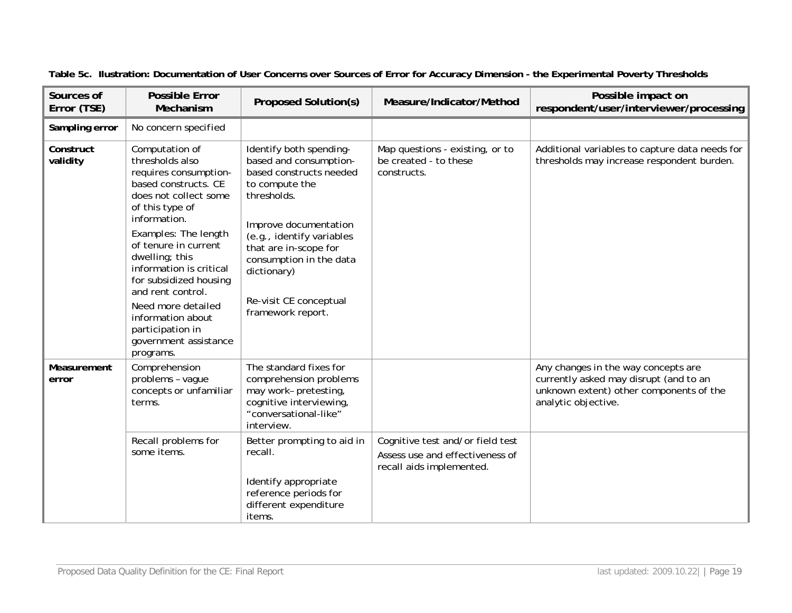| Sources of<br>Error (TSE) | <b>Possible Error</b><br>Mechanism                                                                                                                                                                                                                                                                                                                                                              | <b>Proposed Solution(s)</b>                                                                                                                                                                                                                                                           | Measure/Indicator/Method                                                                        | Possible impact on<br>respondent/user/interviewer/processing                                                                                    |
|---------------------------|-------------------------------------------------------------------------------------------------------------------------------------------------------------------------------------------------------------------------------------------------------------------------------------------------------------------------------------------------------------------------------------------------|---------------------------------------------------------------------------------------------------------------------------------------------------------------------------------------------------------------------------------------------------------------------------------------|-------------------------------------------------------------------------------------------------|-------------------------------------------------------------------------------------------------------------------------------------------------|
| Sampling error            | No concern specified                                                                                                                                                                                                                                                                                                                                                                            |                                                                                                                                                                                                                                                                                       |                                                                                                 |                                                                                                                                                 |
| Construct<br>validity     | Computation of<br>thresholds also<br>requires consumption-<br>based constructs. CE<br>does not collect some<br>of this type of<br>information.<br>Examples: The length<br>of tenure in current<br>dwelling; this<br>information is critical<br>for subsidized housing<br>and rent control.<br>Need more detailed<br>information about<br>participation in<br>government assistance<br>programs. | Identify both spending-<br>based and consumption-<br>based constructs needed<br>to compute the<br>thresholds.<br>Improve documentation<br>(e.g., identify variables<br>that are in-scope for<br>consumption in the data<br>dictionary)<br>Re-visit CE conceptual<br>framework report. | Map questions - existing, or to<br>be created - to these<br>constructs.                         | Additional variables to capture data needs for<br>thresholds may increase respondent burden.                                                    |
| Measurement<br>error      | Comprehension<br>problems - vague<br>concepts or unfamiliar<br>terms.                                                                                                                                                                                                                                                                                                                           | The standard fixes for<br>comprehension problems<br>may work- pretesting,<br>cognitive interviewing,<br>"conversational-like"<br>interview.                                                                                                                                           |                                                                                                 | Any changes in the way concepts are<br>currently asked may disrupt (and to an<br>unknown extent) other components of the<br>analytic objective. |
|                           | Recall problems for<br>some items.                                                                                                                                                                                                                                                                                                                                                              | Better prompting to aid in<br>recall.<br>Identify appropriate<br>reference periods for<br>different expenditure<br>items.                                                                                                                                                             | Cognitive test and/or field test<br>Assess use and effectiveness of<br>recall aids implemented. |                                                                                                                                                 |

## **Table 5c. Ilustration: Documentation of User Concerns over Sources of Error for Accuracy Dimension - the Experimental Poverty Thresholds**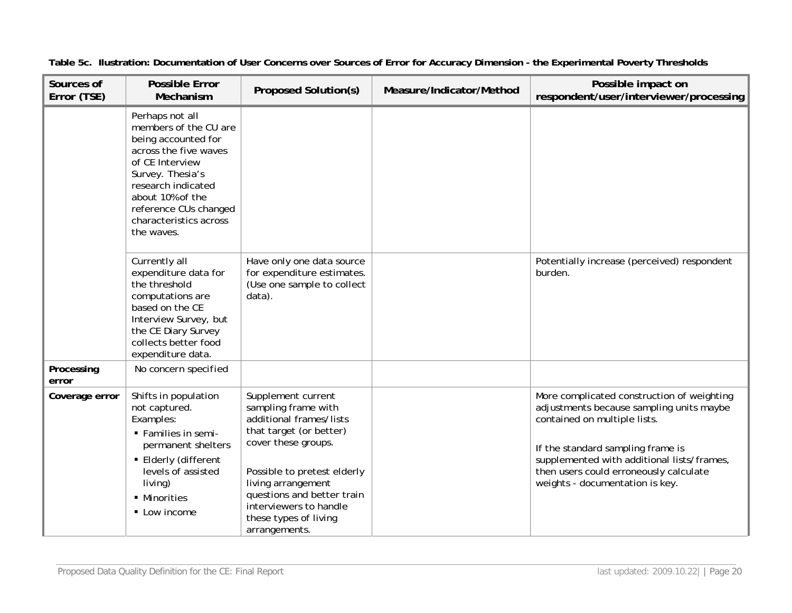| Sources of<br>Error (TSE) | <b>Possible Error</b><br>Mechanism                                                                                                                                                                                                                                                                                                                                                                                  | <b>Proposed Solution(s)</b>                                                                                                                                                                                                                                                   | Measure/Indicator/Method | Possible impact on<br>respondent/user/interviewer/processing                                                                                                                                                                                                                           |
|---------------------------|---------------------------------------------------------------------------------------------------------------------------------------------------------------------------------------------------------------------------------------------------------------------------------------------------------------------------------------------------------------------------------------------------------------------|-------------------------------------------------------------------------------------------------------------------------------------------------------------------------------------------------------------------------------------------------------------------------------|--------------------------|----------------------------------------------------------------------------------------------------------------------------------------------------------------------------------------------------------------------------------------------------------------------------------------|
|                           | Perhaps not all<br>members of the CU are<br>being accounted for<br>across the five waves<br>of CE Interview<br>Survey. Thesia's<br>research indicated<br>about 10% of the<br>reference CUs changed<br>characteristics across<br>the waves.<br>Currently all<br>expenditure data for<br>the threshold<br>computations are<br>based on the CE<br>Interview Survey, but<br>the CE Diary Survey<br>collects better food | Have only one data source<br>for expenditure estimates.<br>(Use one sample to collect<br>data).                                                                                                                                                                               |                          | Potentially increase (perceived) respondent<br>burden.                                                                                                                                                                                                                                 |
| Processing<br>error       | expenditure data.<br>No concern specified                                                                                                                                                                                                                                                                                                                                                                           |                                                                                                                                                                                                                                                                               |                          |                                                                                                                                                                                                                                                                                        |
| Coverage error            | Shifts in population<br>not captured.<br>Examples:<br>• Families in semi-<br>permanent shelters<br>■ Elderly (different<br>levels of assisted<br>living)<br>• Minorities<br>• Low income                                                                                                                                                                                                                            | Supplement current<br>sampling frame with<br>additional frames/lists<br>that target (or better)<br>cover these groups.<br>Possible to pretest elderly<br>living arrangement<br>questions and better train<br>interviewers to handle<br>these types of living<br>arrangements. |                          | More complicated construction of weighting<br>adjustments because sampling units maybe<br>contained on multiple lists.<br>If the standard sampling frame is<br>supplemented with additional lists/frames,<br>then users could erroneously calculate<br>weights - documentation is key. |

**Table 5c. Ilustration: Documentation of User Concerns over Sources of Error for Accuracy Dimension - the Experimental Poverty Thresholds**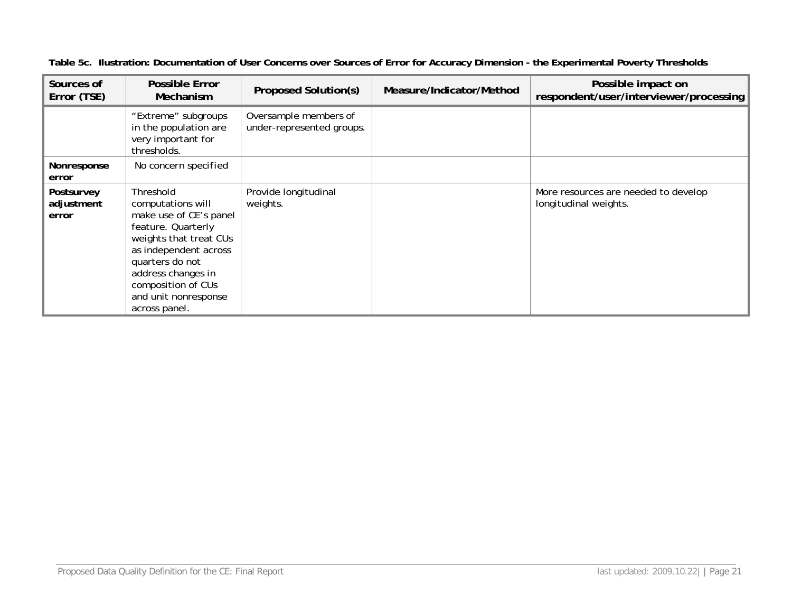| Sources of<br>Error (TSE)         | Possible Error<br>Mechanism                                                                                                                                                                                                               | Proposed Solution(s)                               | Measure/Indicator/Method | Possible impact on<br>respondent/user/interviewer/processing  |
|-----------------------------------|-------------------------------------------------------------------------------------------------------------------------------------------------------------------------------------------------------------------------------------------|----------------------------------------------------|--------------------------|---------------------------------------------------------------|
|                                   | "Extreme" subgroups<br>in the population are<br>very important for<br>thresholds.                                                                                                                                                         | Oversample members of<br>under-represented groups. |                          |                                                               |
| Nonresponse<br>error              | No concern specified                                                                                                                                                                                                                      |                                                    |                          |                                                               |
| Postsurvey<br>adjustment<br>error | Threshold<br>computations will<br>make use of CE's panel<br>feature. Quarterly<br>weights that treat CUs<br>as independent across<br>quarters do not<br>address changes in<br>composition of CUs<br>and unit nonresponse<br>across panel. | Provide longitudinal<br>weights.                   |                          | More resources are needed to develop<br>longitudinal weights. |

**Table 5c. Ilustration: Documentation of User Concerns over Sources of Error for Accuracy Dimension - the Experimental Poverty Thresholds**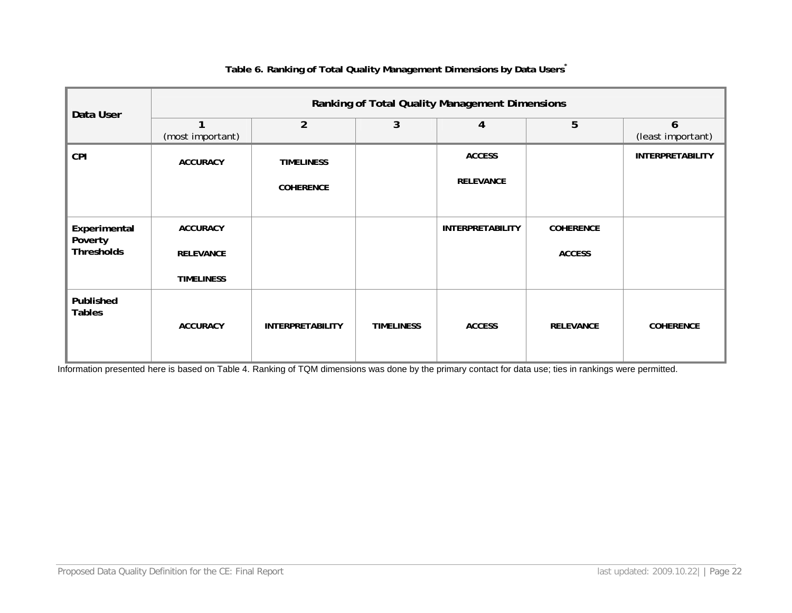| Data User                    | Ranking of Total Quality Management Dimensions |                         |                   |                         |                  |                         |  |  |  |
|------------------------------|------------------------------------------------|-------------------------|-------------------|-------------------------|------------------|-------------------------|--|--|--|
|                              | 1<br>(most important)                          | $\overline{2}$          | 3                 | 4                       | 5                | 6<br>(least important)  |  |  |  |
| <b>CPI</b>                   | <b>ACCURACY</b>                                | <b>TIMELINESS</b>       |                   | <b>ACCESS</b>           |                  | <b>INTERPRETABILITY</b> |  |  |  |
|                              |                                                | <b>COHERENCE</b>        |                   | <b>RELEVANCE</b>        |                  |                         |  |  |  |
| Experimental                 | <b>ACCURACY</b>                                |                         |                   | <b>INTERPRETABILITY</b> | <b>COHERENCE</b> |                         |  |  |  |
| Poverty<br><b>Thresholds</b> | <b>RELEVANCE</b>                               |                         |                   |                         | <b>ACCESS</b>    |                         |  |  |  |
|                              | <b>TIMELINESS</b>                              |                         |                   |                         |                  |                         |  |  |  |
| Published<br><b>Tables</b>   | <b>ACCURACY</b>                                | <b>INTERPRETABILITY</b> | <b>TIMELINESS</b> | <b>ACCESS</b>           | <b>RELEVANCE</b> | <b>COHERENCE</b>        |  |  |  |

#### **Table 6. Ranking of Total Quality Management Dimensions by Data Users\***

Information presented here is based on Table 4. Ranking of TQM dimensions was done by the primary contact for data use; ties in rankings were permitted.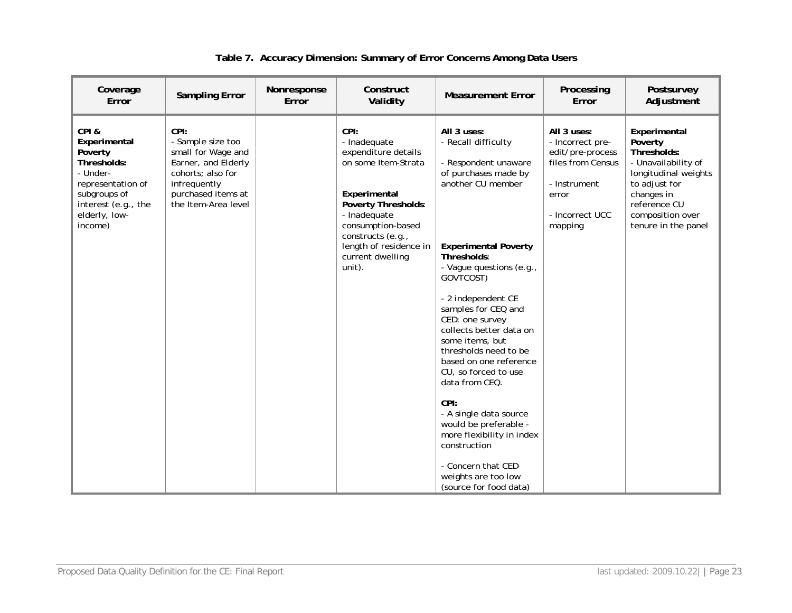| Coverage<br>Error                                                                                                                                  | <b>Sampling Error</b>                                                                                                                                    | Nonresponse<br>Error | Construct<br>Validity                                                                                                                                                                                                       | <b>Measurement Error</b>                                                                                                                                                                                                                                                                                                                                                                                                                                                                                                                                                                 | Processing<br>Error                                                                                                             | Postsurvey<br>Adjustment                                                                                                                                                        |
|----------------------------------------------------------------------------------------------------------------------------------------------------|----------------------------------------------------------------------------------------------------------------------------------------------------------|----------------------|-----------------------------------------------------------------------------------------------------------------------------------------------------------------------------------------------------------------------------|------------------------------------------------------------------------------------------------------------------------------------------------------------------------------------------------------------------------------------------------------------------------------------------------------------------------------------------------------------------------------------------------------------------------------------------------------------------------------------------------------------------------------------------------------------------------------------------|---------------------------------------------------------------------------------------------------------------------------------|---------------------------------------------------------------------------------------------------------------------------------------------------------------------------------|
| CPI&<br>Experimental<br>Poverty<br>Thresholds:<br>- Under-<br>representation of<br>subgroups of<br>interest (e.g., the<br>elderly, low-<br>income) | CPI:<br>- Sample size too<br>small for Wage and<br>Earner, and Elderly<br>cohorts; also for<br>infrequently<br>purchased items at<br>the Item-Area level |                      | CPI:<br>- Inadequate<br>expenditure details<br>on some Item-Strata<br>Experimental<br>Poverty Thresholds:<br>- Inadequate<br>consumption-based<br>constructs (e.g.,<br>length of residence in<br>current dwelling<br>unit). | All 3 uses:<br>- Recall difficulty<br>- Respondent unaware<br>of purchases made by<br>another CU member<br><b>Experimental Poverty</b><br>Thresholds:<br>- Vague questions (e.g.,<br>GOVTCOST)<br>- 2 independent CE<br>samples for CEQ and<br>CED: one survey<br>collects better data on<br>some items, but<br>thresholds need to be<br>based on one reference<br>CU, so forced to use<br>data from CEQ.<br>CPI:<br>- A single data source<br>would be preferable -<br>more flexibility in index<br>construction<br>- Concern that CED<br>weights are too low<br>(source for food data) | All 3 uses:<br>- Incorrect pre-<br>edit/pre-process<br>files from Census<br>- Instrument<br>error<br>- Incorrect UCC<br>mapping | Experimental<br>Poverty<br>Thresholds:<br>- Unavailability of<br>longitudinal weights<br>to adjust for<br>changes in<br>reference CU<br>composition over<br>tenure in the panel |

# **Table 7. Accuracy Dimension: Summary of Error Concerns Among Data Users**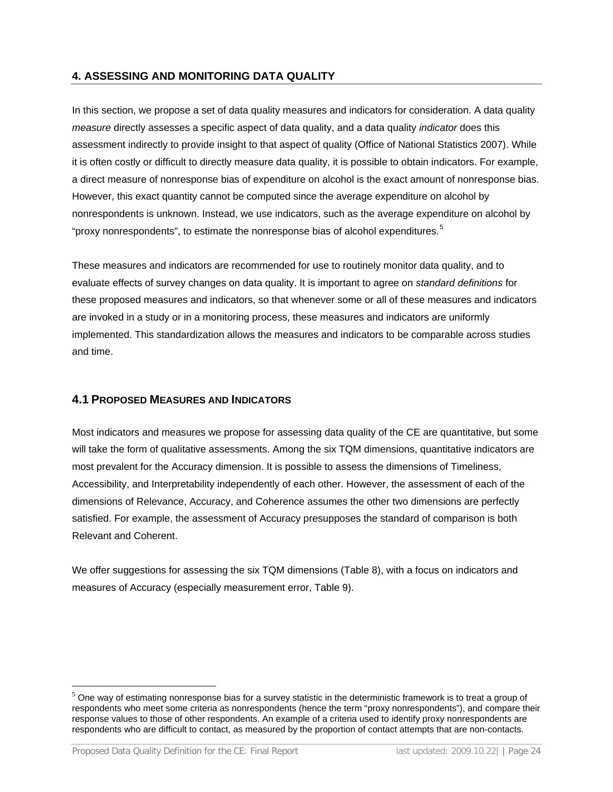## <span id="page-24-0"></span>**4. ASSESSING AND MONITORING DATA QUALITY**

In this section, we propose a set of data quality measures and indicators for consideration. A data quality *measure* directly assesses a specific aspect of data quality, and a data quality *indicator* does this assessment indirectly to provide insight to that aspect of quality (Office of National Statistics 2007). While it is often costly or difficult to directly measure data quality, it is possible to obtain indicators. For example, a direct measure of nonresponse bias of expenditure on alcohol is the exact amount of nonresponse bias. However, this exact quantity cannot be computed since the average expenditure on alcohol by nonrespondents is unknown. Instead, we use indicators, such as the average expenditure on alcohol by "proxy nonrespondents", to estimate the nonresponse bias of alcohol expenditures.<sup>[5](#page-24-2)</sup>

These measures and indicators are recommended for use to routinely monitor data quality, and to evaluate effects of survey changes on data quality. It is important to agree on *standard definitions* for these proposed measures and indicators, so that whenever some or all of these measures and indicators are invoked in a study or in a monitoring process, these measures and indicators are uniformly implemented. This standardization allows the measures and indicators to be comparable across studies and time.

### <span id="page-24-1"></span>**4.1 PROPOSED MEASURES AND INDICATORS**

Most indicators and measures we propose for assessing data quality of the CE are quantitative, but some will take the form of qualitative assessments. Among the six TQM dimensions, quantitative indicators are most prevalent for the Accuracy dimension. It is possible to assess the dimensions of Timeliness, Accessibility, and Interpretability independently of each other. However, the assessment of each of the dimensions of Relevance, Accuracy, and Coherence assumes the other two dimensions are perfectly satisfied. For example, the assessment of Accuracy presupposes the standard of comparison is both Relevant and Coherent.

We offer suggestions for assessing the six TQM dimensions (Table 8), with a focus on indicators and measures of Accuracy (especially measurement error, Table 9).

 $\overline{a}$ 

<span id="page-24-2"></span> $<sup>5</sup>$  One way of estimating nonresponse bias for a survey statistic in the deterministic framework is to treat a group of</sup> respondents who meet some criteria as nonrespondents (hence the term "proxy nonrespondents"), and compare their response values to those of other respondents. An example of a criteria used to identify proxy nonrespondents are respondents who are difficult to contact, as measured by the proportion of contact attempts that are non-contacts.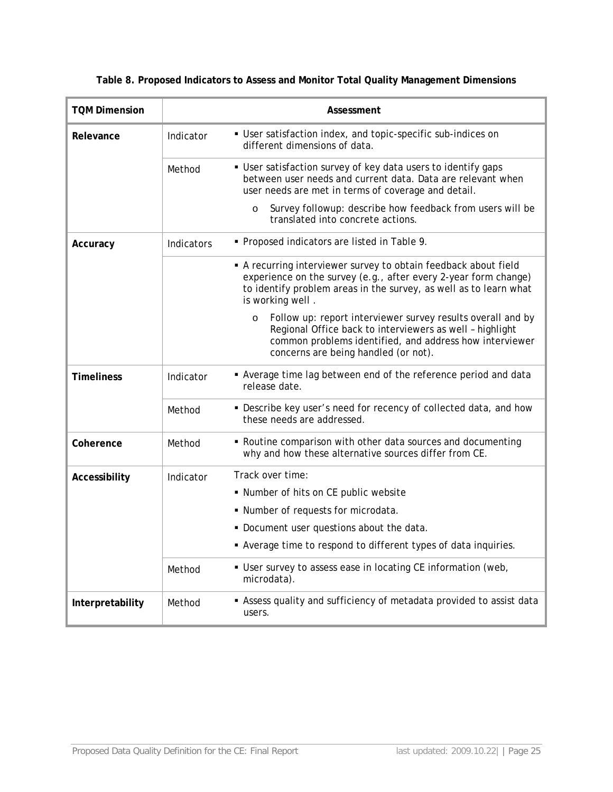| <b>TQM Dimension</b> |            | Assessment                                                                                                                                                                                                                            |
|----------------------|------------|---------------------------------------------------------------------------------------------------------------------------------------------------------------------------------------------------------------------------------------|
| Relevance            | Indicator  | • User satisfaction index, and topic-specific sub-indices on<br>different dimensions of data.                                                                                                                                         |
|                      | Method     | • User satisfaction survey of key data users to identify gaps<br>between user needs and current data. Data are relevant when<br>user needs are met in terms of coverage and detail.                                                   |
|                      |            | Survey followup: describe how feedback from users will be<br>$\circ$<br>translated into concrete actions.                                                                                                                             |
| Accuracy             | Indicators | • Proposed indicators are listed in Table 9.                                                                                                                                                                                          |
|                      |            | A recurring interviewer survey to obtain feedback about field<br>experience on the survey (e.g., after every 2-year form change)<br>to identify problem areas in the survey, as well as to learn what<br>is working well.             |
|                      |            | Follow up: report interviewer survey results overall and by<br>$\circ$<br>Regional Office back to interviewers as well - highlight<br>common problems identified, and address how interviewer<br>concerns are being handled (or not). |
| <b>Timeliness</b>    | Indicator  | • Average time lag between end of the reference period and data<br>release date.                                                                                                                                                      |
|                      | Method     | • Describe key user's need for recency of collected data, and how<br>these needs are addressed.                                                                                                                                       |
| Coherence            | Method     | . Routine comparison with other data sources and documenting<br>why and how these alternative sources differ from CE.                                                                                                                 |
| Accessibility        | Indicator  | Track over time:                                                                                                                                                                                                                      |
|                      |            | ■ Number of hits on CE public website                                                                                                                                                                                                 |
|                      |            | • Number of requests for microdata.                                                                                                                                                                                                   |
|                      |            | . Document user questions about the data.                                                                                                                                                                                             |
|                      |            | Average time to respond to different types of data inquiries.                                                                                                                                                                         |
|                      | Method     | • User survey to assess ease in locating CE information (web,<br>microdata).                                                                                                                                                          |
| Interpretability     | Method     | • Assess quality and sufficiency of metadata provided to assist data<br>users.                                                                                                                                                        |

**Table 8. Proposed Indicators to Assess and Monitor Total Quality Management Dimensions**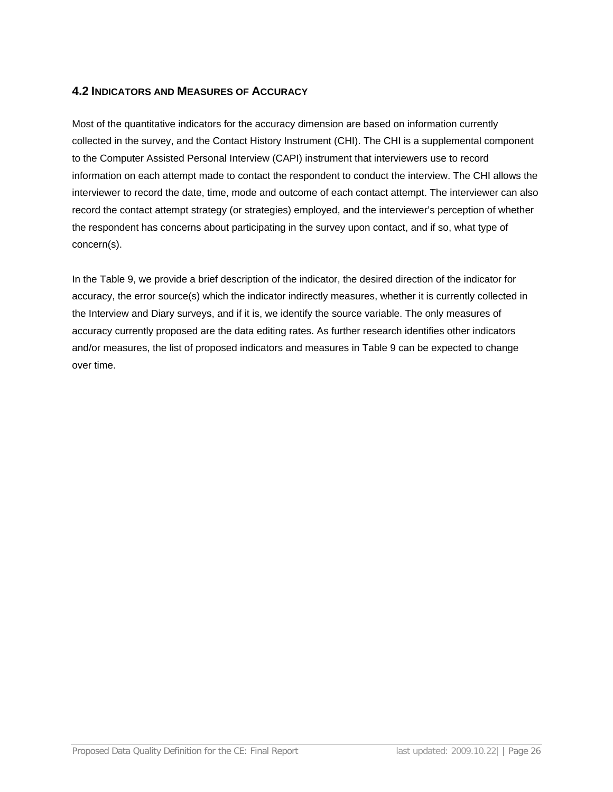## <span id="page-26-0"></span>**4.2 INDICATORS AND MEASURES OF ACCURACY**

Most of the quantitative indicators for the accuracy dimension are based on information currently collected in the survey, and the Contact History Instrument (CHI). The CHI is a supplemental component to the Computer Assisted Personal Interview (CAPI) instrument that interviewers use to record information on each attempt made to contact the respondent to conduct the interview. The CHI allows the interviewer to record the date, time, mode and outcome of each contact attempt. The interviewer can also record the contact attempt strategy (or strategies) employed, and the interviewer's perception of whether the respondent has concerns about participating in the survey upon contact, and if so, what type of concern(s).

In the Table 9, we provide a brief description of the indicator, the desired direction of the indicator for accuracy, the error source(s) which the indicator indirectly measures, whether it is currently collected in the Interview and Diary surveys, and if it is, we identify the source variable. The only measures of accuracy currently proposed are the data editing rates. As further research identifies other indicators and/or measures, the list of proposed indicators and measures in Table 9 can be expected to change over time.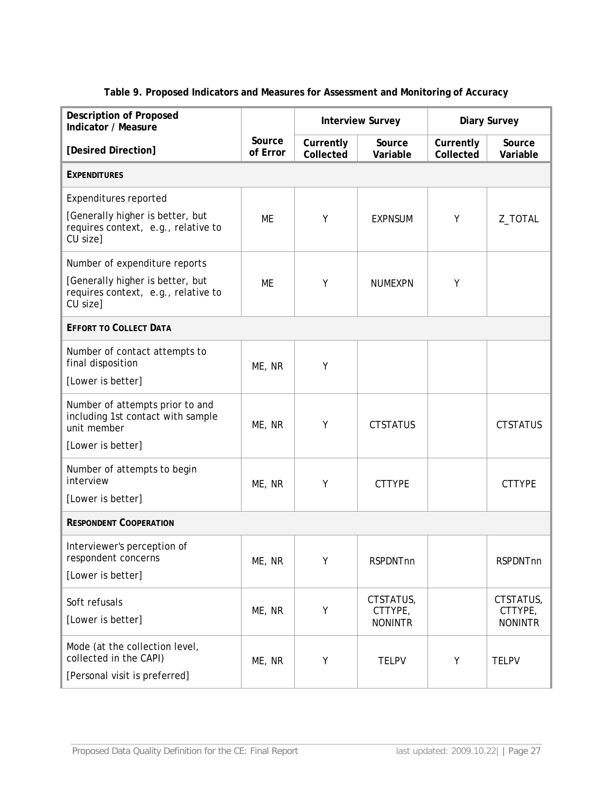| Table 9. Proposed Indicators and Measures for Assessment and Monitoring of Accuracy |
|-------------------------------------------------------------------------------------|
|-------------------------------------------------------------------------------------|

| <b>Description of Proposed</b><br>Indicator / Measure                                     |                    |                        | <b>Interview Survey</b>                |                        | <b>Diary Survey</b>                    |  |
|-------------------------------------------------------------------------------------------|--------------------|------------------------|----------------------------------------|------------------------|----------------------------------------|--|
| [Desired Direction]                                                                       | Source<br>of Error | Currently<br>Collected | Source<br>Variable                     | Currently<br>Collected | Source<br>Variable                     |  |
| <b>EXPENDITURES</b>                                                                       |                    |                        |                                        |                        |                                        |  |
| <b>Expenditures reported</b>                                                              |                    |                        |                                        |                        |                                        |  |
| [Generally higher is better, but<br>requires context, e.g., relative to<br>CU size]       | ME                 | Υ                      | <b>EXPNSUM</b>                         | Υ                      | Z_TOTAL                                |  |
| Number of expenditure reports                                                             |                    |                        |                                        |                        |                                        |  |
| [Generally higher is better, but<br>requires context, e.g., relative to<br>CU size]       | ME                 | Y                      | <b>NUMEXPN</b>                         | Y                      |                                        |  |
| <b>EFFORT TO COLLECT DATA</b>                                                             |                    |                        |                                        |                        |                                        |  |
| Number of contact attempts to<br>final disposition                                        | ME, NR             | Y                      |                                        |                        |                                        |  |
| [Lower is better]                                                                         |                    |                        |                                        |                        |                                        |  |
| Number of attempts prior to and<br>including 1st contact with sample<br>unit member       | ME, NR             | Υ                      | <b>CTSTATUS</b>                        |                        | <b>CTSTATUS</b>                        |  |
| [Lower is better]                                                                         |                    |                        |                                        |                        |                                        |  |
| Number of attempts to begin<br>interview                                                  | ME, NR             | Υ                      | <b>CTTYPE</b>                          |                        | <b>CTTYPE</b>                          |  |
| [Lower is better]                                                                         |                    |                        |                                        |                        |                                        |  |
| <b>RESPONDENT COOPERATION</b>                                                             |                    |                        |                                        |                        |                                        |  |
| Interviewer's perception of<br>respondent concerns                                        | ME, NR             | Υ                      | <b>RSPDNTnn</b>                        |                        | <b>RSPDNTnn</b>                        |  |
| [Lower is better]                                                                         |                    |                        |                                        |                        |                                        |  |
| Soft refusals<br>[Lower is better]                                                        | ME, NR             | Y                      | CTSTATUS,<br>CTTYPE,<br><b>NONINTR</b> |                        | CTSTATUS,<br>CTTYPE,<br><b>NONINTR</b> |  |
| Mode (at the collection level,<br>collected in the CAPI)<br>[Personal visit is preferred] | ME, NR             | Υ                      | <b>TELPV</b>                           | Υ                      | <b>TELPV</b>                           |  |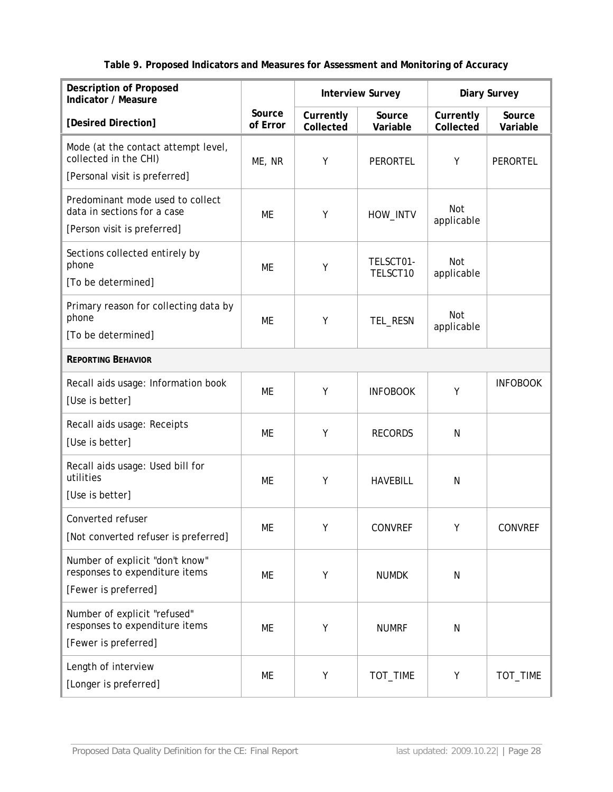# **Table 9. Proposed Indicators and Measures for Assessment and Monitoring of Accuracy**

| <b>Description of Proposed</b><br>Indicator / Measure                                          |                    |                        | <b>Interview Survey</b> |                        | <b>Diary Survey</b> |  |
|------------------------------------------------------------------------------------------------|--------------------|------------------------|-------------------------|------------------------|---------------------|--|
| [Desired Direction]                                                                            | Source<br>of Error | Currently<br>Collected | Source<br>Variable      | Currently<br>Collected | Source<br>Variable  |  |
| Mode (at the contact attempt level,<br>collected in the CHI)<br>[Personal visit is preferred]  | ME, NR             | Υ                      | PERORTEL                | Y                      | <b>PERORTEL</b>     |  |
| Predominant mode used to collect<br>data in sections for a case<br>[Person visit is preferred] | ME                 | Y                      | HOW_INTV                | Not<br>applicable      |                     |  |
| Sections collected entirely by<br>phone<br>[To be determined]                                  | ME                 | Υ                      | TELSCT01-<br>TELSCT10   | Not<br>applicable      |                     |  |
| Primary reason for collecting data by<br>phone<br>[To be determined]                           | ME                 | Υ                      | TEL_RESN                | Not<br>applicable      |                     |  |
| <b>REPORTING BEHAVIOR</b>                                                                      |                    |                        |                         |                        |                     |  |
| Recall aids usage: Information book<br>[Use is better]                                         | ME                 | Υ                      | <b>INFOBOOK</b>         | Υ                      | <b>INFOBOOK</b>     |  |
| Recall aids usage: Receipts<br>[Use is better]                                                 | ME                 | Υ                      | <b>RECORDS</b>          | N                      |                     |  |
| Recall aids usage: Used bill for<br>utilities<br>[Use is better]                               | ME                 | Υ                      | <b>HAVEBILL</b>         | N                      |                     |  |
| Converted refuser<br>[Not converted refuser is preferred]                                      | ME                 | Y                      | CONVREF                 | Y                      | <b>CONVREF</b>      |  |
| Number of explicit "don't know"<br>responses to expenditure items<br>[Fewer is preferred]      | ME                 | Υ                      | <b>NUMDK</b>            | N                      |                     |  |
| Number of explicit "refused"<br>responses to expenditure items<br>[Fewer is preferred]         | ME                 | Υ                      | <b>NUMRF</b>            | N                      |                     |  |
| Length of interview<br>[Longer is preferred]                                                   | ME                 | Υ                      | TOT_TIME                | Υ                      | TOT_TIME            |  |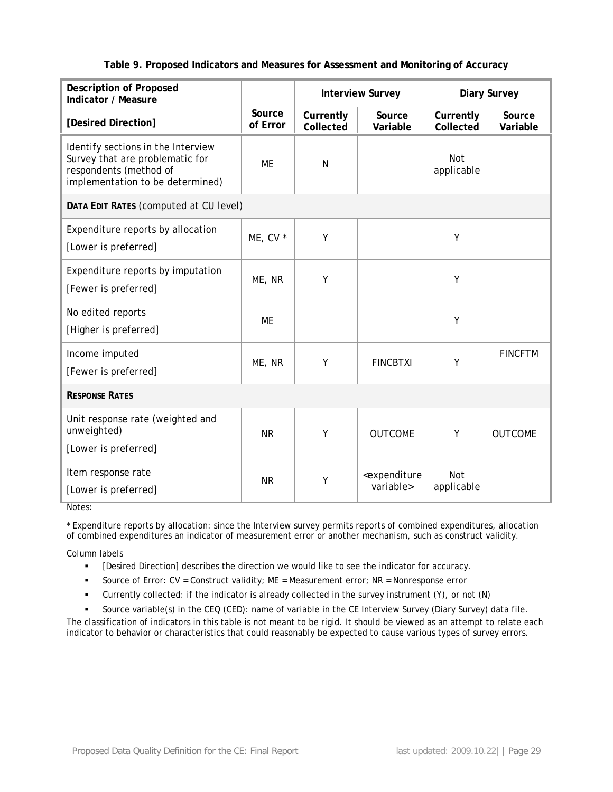#### **Table 9. Proposed Indicators and Measures for Assessment and Monitoring of Accuracy**

| <b>Description of Proposed</b><br>Indicator / Measure                                                                               |                    | <b>Interview Survey</b> |                                               | <b>Diary Survey</b>      |                    |  |
|-------------------------------------------------------------------------------------------------------------------------------------|--------------------|-------------------------|-----------------------------------------------|--------------------------|--------------------|--|
| [Desired Direction]                                                                                                                 | Source<br>of Error | Currently<br>Collected  | Source<br>Variable                            | Currently<br>Collected   | Source<br>Variable |  |
| Identify sections in the Interview<br>Survey that are problematic for<br>respondents (method of<br>implementation to be determined) | <b>ME</b>          | N                       |                                               | <b>Not</b><br>applicable |                    |  |
| DATA EDIT RATES (computed at CU level)                                                                                              |                    |                         |                                               |                          |                    |  |
| Expenditure reports by allocation<br>[Lower is preferred]                                                                           | ME, CV *           | Y                       |                                               | Υ                        |                    |  |
| Expenditure reports by imputation<br>[Fewer is preferred]                                                                           | ME, NR             | Y                       |                                               | Y                        |                    |  |
| No edited reports<br>[Higher is preferred]                                                                                          | <b>ME</b>          |                         |                                               | Y                        |                    |  |
| Income imputed<br>[Fewer is preferred]                                                                                              | ME, NR             | Y                       | <b>FINCBTXI</b>                               | Y                        | <b>FINCFTM</b>     |  |
| <b>RESPONSE RATES</b>                                                                                                               |                    |                         |                                               |                          |                    |  |
| Unit response rate (weighted and<br>unweighted)<br>[Lower is preferred]                                                             | <b>NR</b>          | Υ                       | <b>OUTCOME</b>                                | Y                        | <b>OUTCOME</b>     |  |
| Item response rate<br>[Lower is preferred]                                                                                          | <b>NR</b>          | Y                       | <expenditure<br>variable&gt;</expenditure<br> | <b>Not</b><br>applicable |                    |  |

Notes:

\* Expenditure reports by allocation: since the Interview survey permits reports of combined expenditures, allocation of combined expenditures an indicator of measurement error or another mechanism, such as construct validity.

Column labels

- [Desired Direction] describes the direction we would like to see the indicator for accuracy.
- Source of Error: CV = Construct validity; ME = Measurement error; NR = Nonresponse error
- Currently collected: if the indicator is already collected in the survey instrument (Y), or not (N)
- Source variable(s) in the CEQ (CED): name of variable in the CE Interview Survey (Diary Survey) data file.

The classification of indicators in this table is not meant to be rigid. It should be viewed as an attempt to relate each indicator to behavior or characteristics that could reasonably be expected to cause various types of survey errors.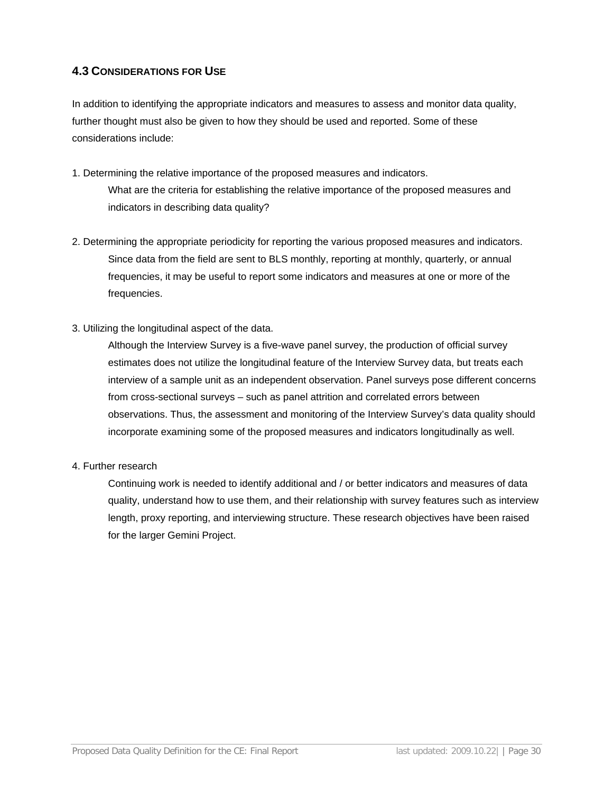# <span id="page-30-0"></span>**4.3 CONSIDERATIONS FOR USE**

In addition to identifying the appropriate indicators and measures to assess and monitor data quality, further thought must also be given to how they should be used and reported. Some of these considerations include:

- 1. Determining the relative importance of the proposed measures and indicators. What are the criteria for establishing the relative importance of the proposed measures and indicators in describing data quality?
- 2. Determining the appropriate periodicity for reporting the various proposed measures and indicators. Since data from the field are sent to BLS monthly, reporting at monthly, quarterly, or annual frequencies, it may be useful to report some indicators and measures at one or more of the frequencies.
- 3. Utilizing the longitudinal aspect of the data.

Although the Interview Survey is a five-wave panel survey, the production of official survey estimates does not utilize the longitudinal feature of the Interview Survey data, but treats each interview of a sample unit as an independent observation. Panel surveys pose different concerns from cross-sectional surveys – such as panel attrition and correlated errors between observations. Thus, the assessment and monitoring of the Interview Survey's data quality should incorporate examining some of the proposed measures and indicators longitudinally as well.

4. Further research

Continuing work is needed to identify additional and / or better indicators and measures of data quality, understand how to use them, and their relationship with survey features such as interview length, proxy reporting, and interviewing structure. These research objectives have been raised for the larger Gemini Project.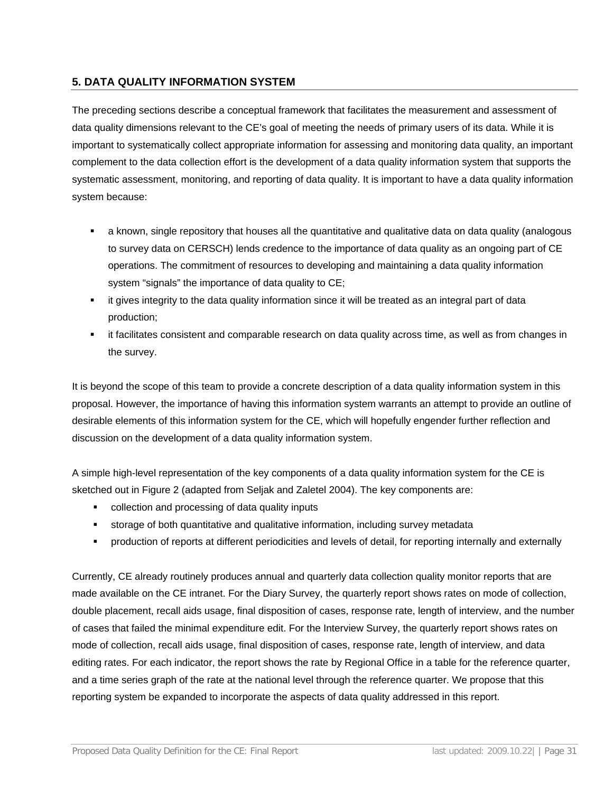### <span id="page-31-0"></span>**5. DATA QUALITY INFORMATION SYSTEM**

The preceding sections describe a conceptual framework that facilitates the measurement and assessment of data quality dimensions relevant to the CE's goal of meeting the needs of primary users of its data. While it is important to systematically collect appropriate information for assessing and monitoring data quality, an important complement to the data collection effort is the development of a data quality information system that supports the systematic assessment, monitoring, and reporting of data quality. It is important to have a data quality information system because:

- a known, single repository that houses all the quantitative and qualitative data on data quality (analogous to survey data on CERSCH) lends credence to the importance of data quality as an ongoing part of CE operations. The commitment of resources to developing and maintaining a data quality information system "signals" the importance of data quality to CE;
- it gives integrity to the data quality information since it will be treated as an integral part of data production;
- it facilitates consistent and comparable research on data quality across time, as well as from changes in the survey.

It is beyond the scope of this team to provide a concrete description of a data quality information system in this proposal. However, the importance of having this information system warrants an attempt to provide an outline of desirable elements of this information system for the CE, which will hopefully engender further reflection and discussion on the development of a data quality information system.

A simple high-level representation of the key components of a data quality information system for the CE is sketched out in Figure 2 (adapted from Seljak and Zaletel 2004). The key components are:

- collection and processing of data quality inputs
- storage of both quantitative and qualitative information, including survey metadata
- production of reports at different periodicities and levels of detail, for reporting internally and externally

Currently, CE already routinely produces annual and quarterly data collection quality monitor reports that are made available on the CE intranet. For the Diary Survey, the quarterly report shows rates on mode of collection, double placement, recall aids usage, final disposition of cases, response rate, length of interview, and the number of cases that failed the minimal expenditure edit. For the Interview Survey, the quarterly report shows rates on mode of collection, recall aids usage, final disposition of cases, response rate, length of interview, and data editing rates. For each indicator, the report shows the rate by Regional Office in a table for the reference quarter, and a time series graph of the rate at the national level through the reference quarter. We propose that this reporting system be expanded to incorporate the aspects of data quality addressed in this report.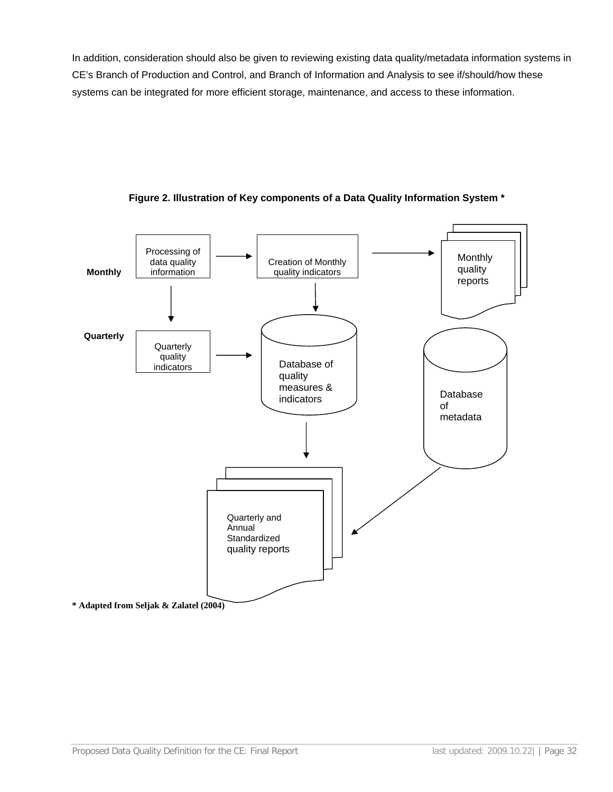In addition, consideration should also be given to reviewing existing data quality/metadata information systems in CE's Branch of Production and Control, and Branch of Information and Analysis to see if/should/how these systems can be integrated for more efficient storage, maintenance, and access to these information.



#### **Figure 2. Illustration of Key components of a Data Quality Information System \***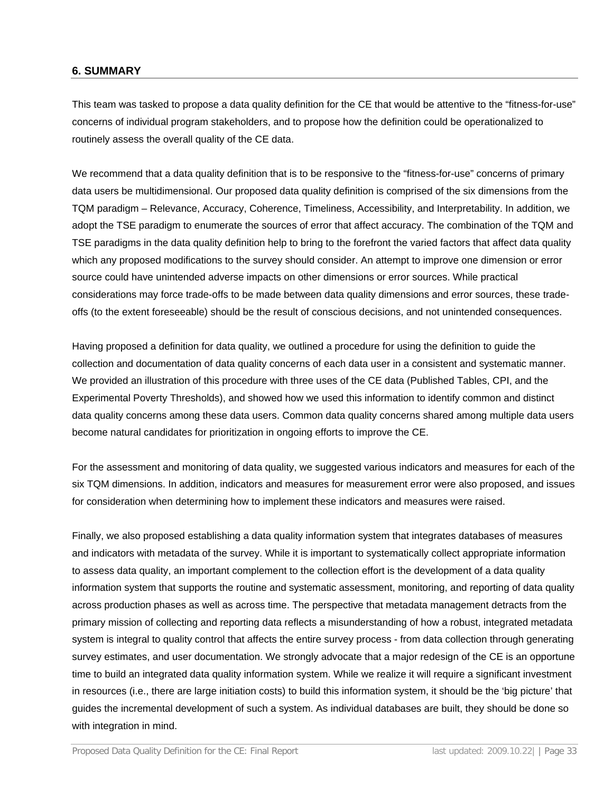### <span id="page-33-0"></span>**6. SUMMARY**

This team was tasked to propose a data quality definition for the CE that would be attentive to the "fitness-for-use" concerns of individual program stakeholders, and to propose how the definition could be operationalized to routinely assess the overall quality of the CE data.

We recommend that a data quality definition that is to be responsive to the "fitness-for-use" concerns of primary data users be multidimensional. Our proposed data quality definition is comprised of the six dimensions from the TQM paradigm – Relevance, Accuracy, Coherence, Timeliness, Accessibility, and Interpretability. In addition, we adopt the TSE paradigm to enumerate the sources of error that affect accuracy. The combination of the TQM and TSE paradigms in the data quality definition help to bring to the forefront the varied factors that affect data quality which any proposed modifications to the survey should consider. An attempt to improve one dimension or error source could have unintended adverse impacts on other dimensions or error sources. While practical considerations may force trade-offs to be made between data quality dimensions and error sources, these tradeoffs (to the extent foreseeable) should be the result of conscious decisions, and not unintended consequences.

Having proposed a definition for data quality, we outlined a procedure for using the definition to guide the collection and documentation of data quality concerns of each data user in a consistent and systematic manner. We provided an illustration of this procedure with three uses of the CE data (Published Tables, CPI, and the Experimental Poverty Thresholds), and showed how we used this information to identify common and distinct data quality concerns among these data users. Common data quality concerns shared among multiple data users become natural candidates for prioritization in ongoing efforts to improve the CE.

For the assessment and monitoring of data quality, we suggested various indicators and measures for each of the six TQM dimensions. In addition, indicators and measures for measurement error were also proposed, and issues for consideration when determining how to implement these indicators and measures were raised.

Finally, we also proposed establishing a data quality information system that integrates databases of measures and indicators with metadata of the survey. While it is important to systematically collect appropriate information to assess data quality, an important complement to the collection effort is the development of a data quality information system that supports the routine and systematic assessment, monitoring, and reporting of data quality across production phases as well as across time. The perspective that metadata management detracts from the primary mission of collecting and reporting data reflects a misunderstanding of how a robust, integrated metadata system is integral to quality control that affects the entire survey process - from data collection through generating survey estimates, and user documentation. We strongly advocate that a major redesign of the CE is an opportune time to build an integrated data quality information system. While we realize it will require a significant investment in resources (i.e., there are large initiation costs) to build this information system, it should be the 'big picture' that guides the incremental development of such a system. As individual databases are built, they should be done so with integration in mind.